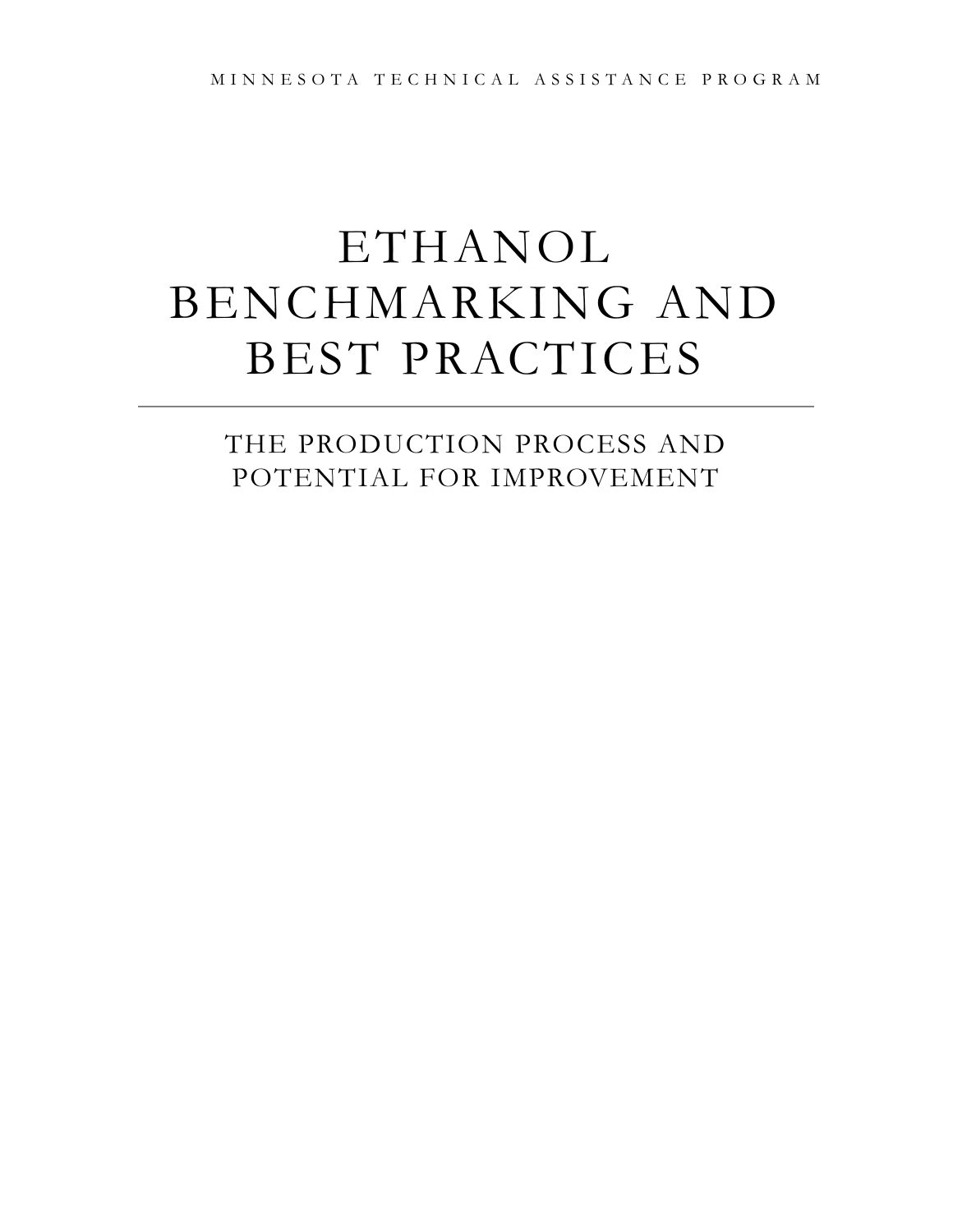# ETHANOL BENCHMARKING AND BEST PRACTICES

THE PRODUCTION PROCESS AND POTENTIAL FOR IMPROVEMENT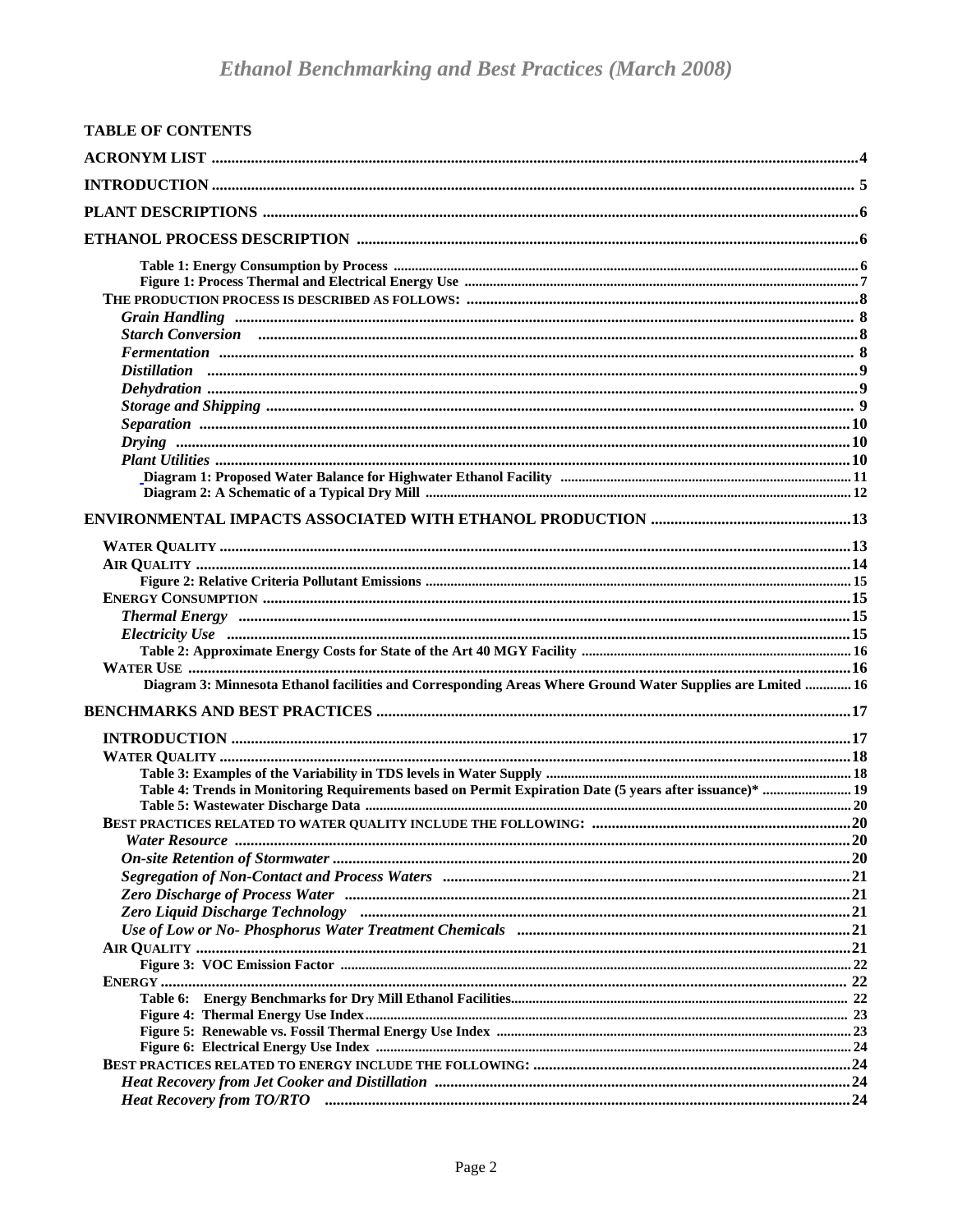| <b>TABLE OF CONTENTS</b>                                                                                                                                                                                                       |  |
|--------------------------------------------------------------------------------------------------------------------------------------------------------------------------------------------------------------------------------|--|
|                                                                                                                                                                                                                                |  |
|                                                                                                                                                                                                                                |  |
|                                                                                                                                                                                                                                |  |
|                                                                                                                                                                                                                                |  |
|                                                                                                                                                                                                                                |  |
|                                                                                                                                                                                                                                |  |
|                                                                                                                                                                                                                                |  |
|                                                                                                                                                                                                                                |  |
|                                                                                                                                                                                                                                |  |
|                                                                                                                                                                                                                                |  |
|                                                                                                                                                                                                                                |  |
|                                                                                                                                                                                                                                |  |
|                                                                                                                                                                                                                                |  |
|                                                                                                                                                                                                                                |  |
|                                                                                                                                                                                                                                |  |
|                                                                                                                                                                                                                                |  |
|                                                                                                                                                                                                                                |  |
|                                                                                                                                                                                                                                |  |
|                                                                                                                                                                                                                                |  |
|                                                                                                                                                                                                                                |  |
|                                                                                                                                                                                                                                |  |
|                                                                                                                                                                                                                                |  |
|                                                                                                                                                                                                                                |  |
|                                                                                                                                                                                                                                |  |
|                                                                                                                                                                                                                                |  |
|                                                                                                                                                                                                                                |  |
| Diagram 3: Minnesota Ethanol facilities and Corresponding Areas Where Ground Water Supplies are Lmited  16                                                                                                                     |  |
|                                                                                                                                                                                                                                |  |
|                                                                                                                                                                                                                                |  |
|                                                                                                                                                                                                                                |  |
|                                                                                                                                                                                                                                |  |
|                                                                                                                                                                                                                                |  |
| Table 4: Trends in Monitoring Requirements based on Permit Expiration Date (5 years after issuance)*  19                                                                                                                       |  |
|                                                                                                                                                                                                                                |  |
|                                                                                                                                                                                                                                |  |
|                                                                                                                                                                                                                                |  |
| Segregation of Non-Contact and Process Waters manufactured and the content of Non-Contact and Process Waters manufactured and the set of Non-Contact and Process Waters manufactured and the set of Non-Contact and Process Wa |  |
| Zero Discharge of Process Water manufactured and contain an according to the 21 and 21                                                                                                                                         |  |
|                                                                                                                                                                                                                                |  |
|                                                                                                                                                                                                                                |  |
|                                                                                                                                                                                                                                |  |
|                                                                                                                                                                                                                                |  |
|                                                                                                                                                                                                                                |  |
|                                                                                                                                                                                                                                |  |
|                                                                                                                                                                                                                                |  |
|                                                                                                                                                                                                                                |  |
|                                                                                                                                                                                                                                |  |
|                                                                                                                                                                                                                                |  |
| Heat Recovery from TO/RTO manufactured and the control of the Tolerand Control of the Heat Recovery from TO/RTO                                                                                                                |  |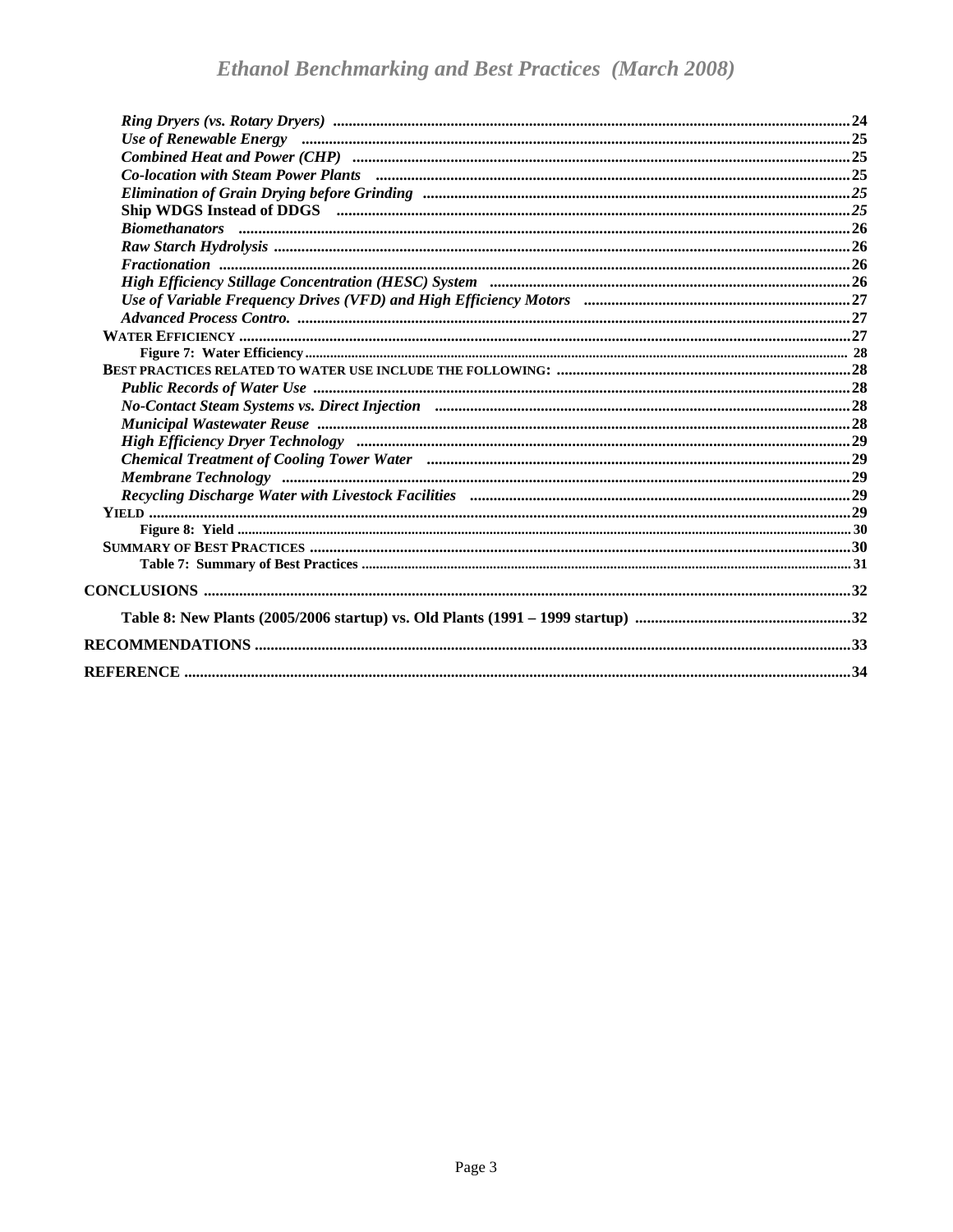| Use of Renewable Energy manufactured and the contract of Renewable Energy manufactured and the contract of Renewable Energy manufactured and the contract of Renewable Energy manufactured and the contract of the contract of |  |
|--------------------------------------------------------------------------------------------------------------------------------------------------------------------------------------------------------------------------------|--|
|                                                                                                                                                                                                                                |  |
|                                                                                                                                                                                                                                |  |
|                                                                                                                                                                                                                                |  |
|                                                                                                                                                                                                                                |  |
|                                                                                                                                                                                                                                |  |
|                                                                                                                                                                                                                                |  |
|                                                                                                                                                                                                                                |  |
|                                                                                                                                                                                                                                |  |
|                                                                                                                                                                                                                                |  |
|                                                                                                                                                                                                                                |  |
|                                                                                                                                                                                                                                |  |
|                                                                                                                                                                                                                                |  |
|                                                                                                                                                                                                                                |  |
| Public Records of Water Use manufactured and contact the control of the control of the Records of Water Use manufactured and the control of the control of the control of the control of the control of the control of the con |  |
|                                                                                                                                                                                                                                |  |
|                                                                                                                                                                                                                                |  |
|                                                                                                                                                                                                                                |  |
|                                                                                                                                                                                                                                |  |
|                                                                                                                                                                                                                                |  |
|                                                                                                                                                                                                                                |  |
|                                                                                                                                                                                                                                |  |
|                                                                                                                                                                                                                                |  |
|                                                                                                                                                                                                                                |  |
|                                                                                                                                                                                                                                |  |
|                                                                                                                                                                                                                                |  |
|                                                                                                                                                                                                                                |  |
|                                                                                                                                                                                                                                |  |
|                                                                                                                                                                                                                                |  |
|                                                                                                                                                                                                                                |  |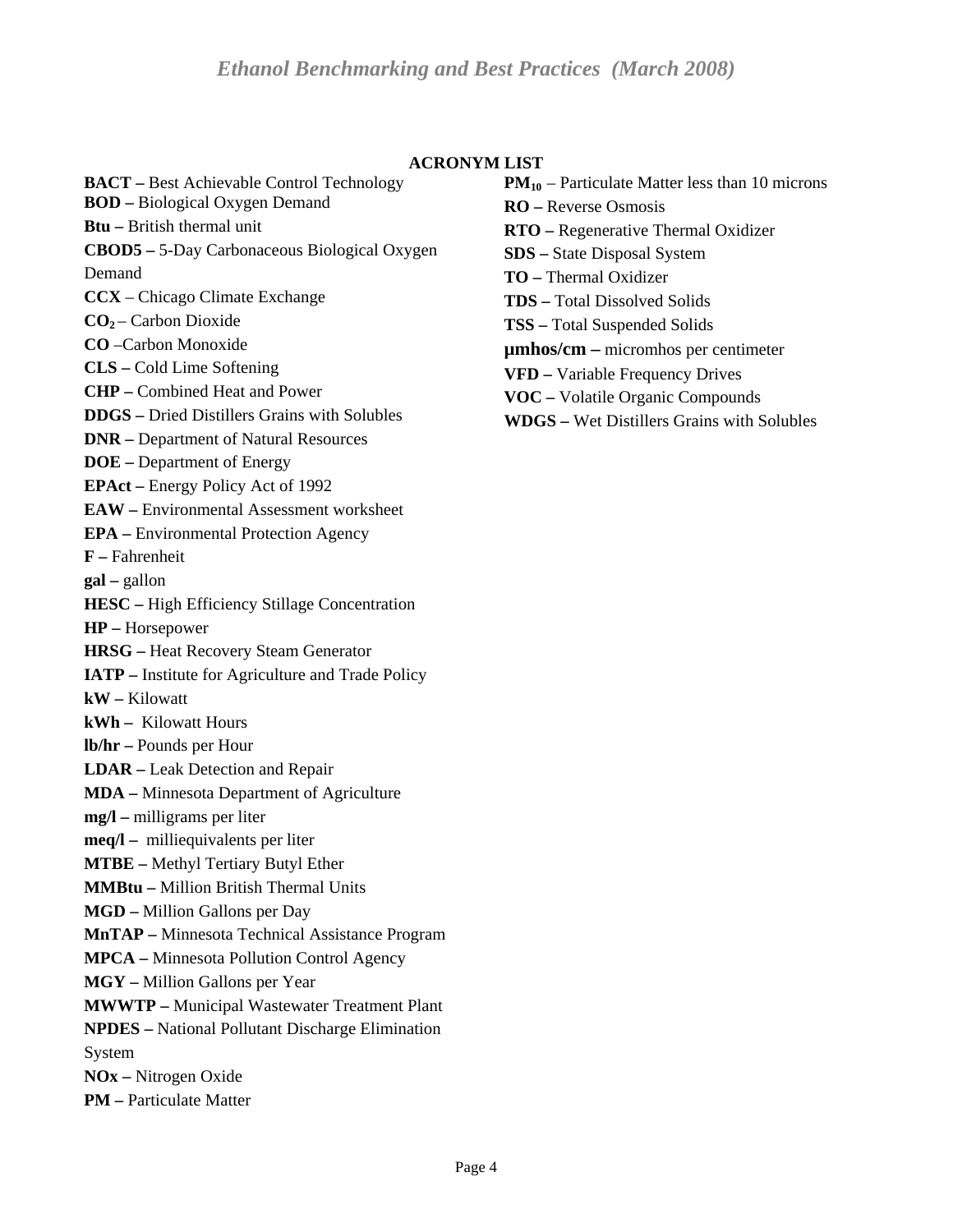#### **ACRONYM LIST**

<span id="page-3-0"></span>**BACT –** Best Achievable Control Technology **BOD –** Biological Oxygen Demand **Btu –** British thermal unit **CBOD5 –** 5-Day Carbonaceous Biological Oxygen Demand **CCX** – Chicago Climate Exchange **CO2** – Carbon Dioxide **CO** –Carbon Monoxide **CLS –** Cold Lime Softening **CHP –** Combined Heat and Power **DDGS –** Dried Distillers Grains with Solubles **DNR –** Department of Natural Resources **DOE –** Department of Energy **EPAct –** Energy Policy Act of 1992 **EAW –** Environmental Assessment worksheet **EPA –** Environmental Protection Agency **F –** Fahrenheit **gal –** gallon **HESC –** High Efficiency Stillage Concentration **HP –** Horsepower **HRSG –** Heat Recovery Steam Generator **IATP –** Institute for Agriculture and Trade Policy **kW –** Kilowatt **kWh –** Kilowatt Hours **lb/hr –** Pounds per Hour **LDAR –** Leak Detection and Repair **MDA –** Minnesota Department of Agriculture **mg/l –** milligrams per liter **meq/l –** milliequivalents per liter **MTBE –** Methyl Tertiary Butyl Ether **MMBtu –** Million British Thermal Units **MGD –** Million Gallons per Day **MnTAP –** Minnesota Technical Assistance Program **MPCA –** Minnesota Pollution Control Agency **MGY –** Million Gallons per Year **MWWTP –** Municipal Wastewater Treatment Plant **NPDES –** National Pollutant Discharge Elimination System **NOx –** Nitrogen Oxide **PM –** Particulate Matter

 $PM_{10}$  – Particulate Matter less than 10 microns **RO –** Reverse Osmosis **RTO –** Regenerative Thermal Oxidizer **SDS –** State Disposal System **TO –** Thermal Oxidizer **TDS –** Total Dissolved Solids **TSS –** Total Suspended Solids **µmhos/cm –** micromhos per centimeter **VFD –** Variable Frequency Drives **VOC –** Volatile Organic Compounds

**WDGS –** Wet Distillers Grains with Solubles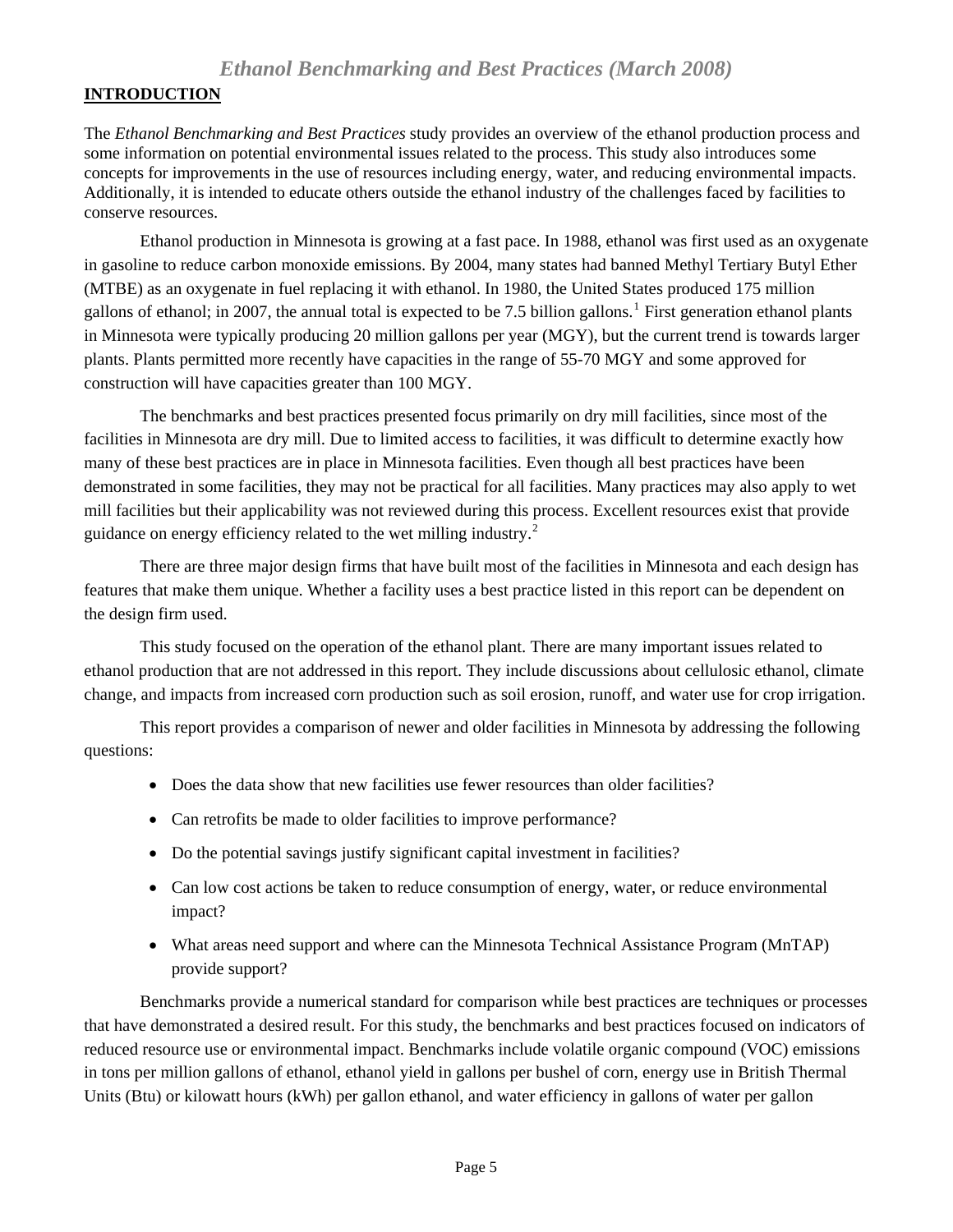## <span id="page-4-0"></span>**INTRODUCTION**

The *Ethanol Benchmarking and Best Practices* study provides an overview of the ethanol production process and some information on potential environmental issues related to the process. This study also introduces some concepts for improvements in the use of resources including energy, water, and reducing environmental impacts. Additionally, it is intended to educate others outside the ethanol industry of the challenges faced by facilities to conserve resources.

 Ethanol production in Minnesota is growing at a fast pace. In 1988, ethanol was first used as an oxygenate in gasoline to reduce carbon monoxide emissions. By 2004, many states had banned Methyl Tertiary Butyl Ether (MTBE) as an oxygenate in fuel replacing it with ethanol. In 1980, the United States produced 175 million gallons of ethanol; in 2007, the annual total is expected to be 7.5 billion gallons.<sup>[1](#page-33-1)</sup> First generation ethanol plants in Minnesota were typically producing 20 million gallons per year (MGY), but the current trend is towards larger plants. Plants permitted more recently have capacities in the range of 55-70 MGY and some approved for construction will have capacities greater than 100 MGY.

 The benchmarks and best practices presented focus primarily on dry mill facilities, since most of the facilities in Minnesota are dry mill. Due to limited access to facilities, it was difficult to determine exactly how many of these best practices are in place in Minnesota facilities. Even though all best practices have been demonstrated in some facilities, they may not be practical for all facilities. Many practices may also apply to wet mill facilities but their applicability was not reviewed during this process. Excellent resources exist that provide guidance on energy efficiency related to the wet milling industry. $2$ 

 There are three major design firms that have built most of the facilities in Minnesota and each design has features that make them unique. Whether a facility uses a best practice listed in this report can be dependent on the design firm used.

 This study focused on the operation of the ethanol plant. There are many important issues related to ethanol production that are not addressed in this report. They include discussions about cellulosic ethanol, climate change, and impacts from increased corn production such as soil erosion, runoff, and water use for crop irrigation.

This report provides a comparison of newer and older facilities in Minnesota by addressing the following questions:

- Does the data show that new facilities use fewer resources than older facilities?
- Can retrofits be made to older facilities to improve performance?
- Do the potential savings justify significant capital investment in facilities?
- Can low cost actions be taken to reduce consumption of energy, water, or reduce environmental impact?
- What areas need support and where can the Minnesota Technical Assistance Program (MnTAP) provide support?

 Benchmarks provide a numerical standard for comparison while best practices are techniques or processes that have demonstrated a desired result. For this study, the benchmarks and best practices focused on indicators of reduced resource use or environmental impact. Benchmarks include volatile organic compound (VOC) emissions in tons per million gallons of ethanol, ethanol yield in gallons per bushel of corn, energy use in British Thermal Units (Btu) or kilowatt hours (kWh) per gallon ethanol, and water efficiency in gallons of water per gallon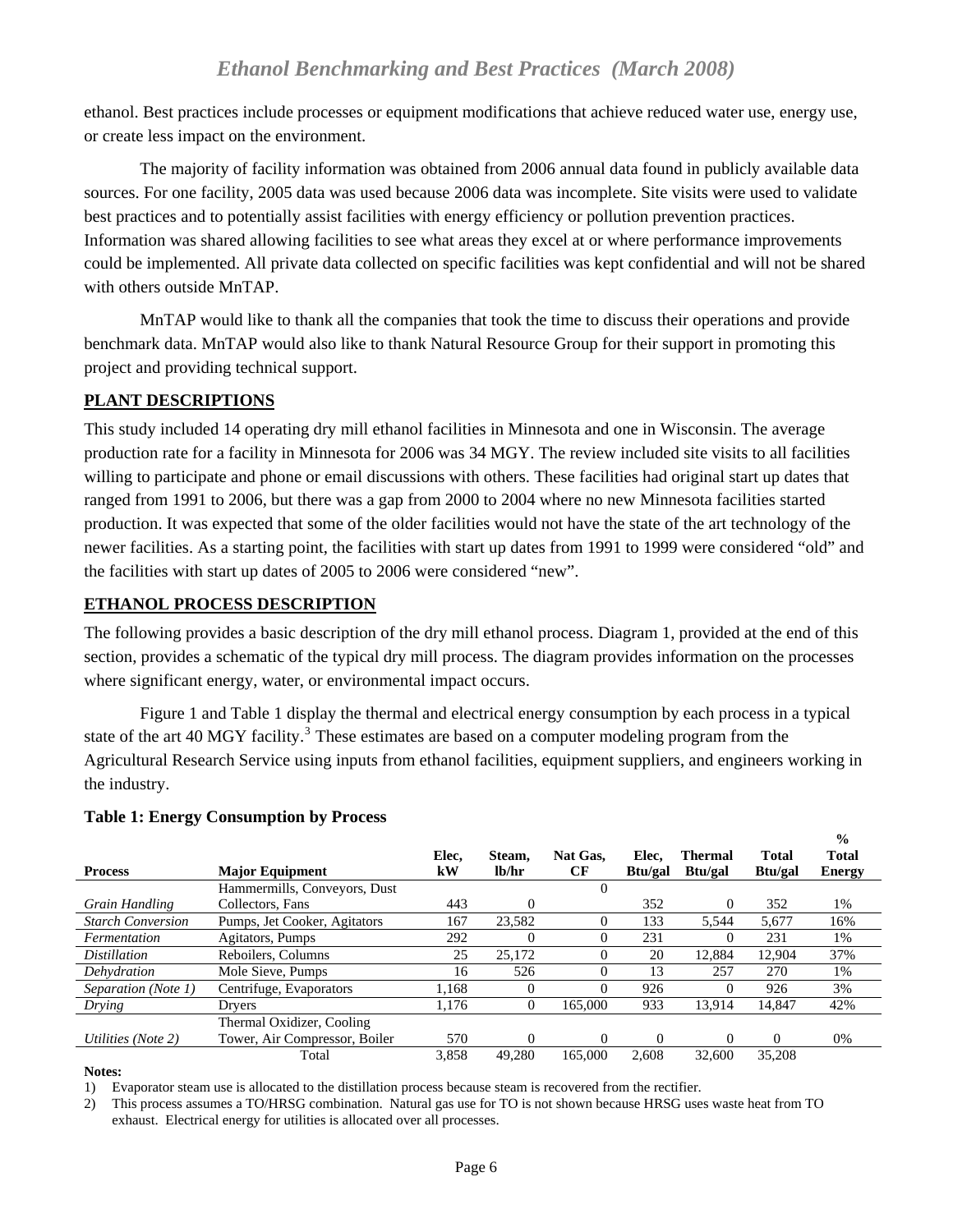<span id="page-5-0"></span>ethanol. Best practices include processes or equipment modifications that achieve reduced water use, energy use, or create less impact on the environment.

 The majority of facility information was obtained from 2006 annual data found in publicly available data sources. For one facility, 2005 data was used because 2006 data was incomplete. Site visits were used to validate best practices and to potentially assist facilities with energy efficiency or pollution prevention practices. Information was shared allowing facilities to see what areas they excel at or where performance improvements could be implemented. All private data collected on specific facilities was kept confidential and will not be shared with others outside MnTAP.

 MnTAP would like to thank all the companies that took the time to discuss their operations and provide benchmark data. MnTAP would also like to thank Natural Resource Group for their support in promoting this project and providing technical support.

#### **PLANT DESCRIPTIONS**

This study included 14 operating dry mill ethanol facilities in Minnesota and one in Wisconsin. The average production rate for a facility in Minnesota for 2006 was 34 MGY. The review included site visits to all facilities willing to participate and phone or email discussions with others. These facilities had original start up dates that ranged from 1991 to 2006, but there was a gap from 2000 to 2004 where no new Minnesota facilities started production. It was expected that some of the older facilities would not have the state of the art technology of the newer facilities. As a starting point, the facilities with start up dates from 1991 to 1999 were considered "old" and the facilities with start up dates of 2005 to 2006 were considered "new".

#### **ETHANOL PROCESS DESCRIPTION**

The following provides a basic description of the dry mill ethanol process. Diagram 1, provided at the end of this section, provides a schematic of the typical dry mill process. The diagram provides information on the processes where significant energy, water, or environmental impact occurs.

 Figure 1 and Table 1 display the thermal and electrical energy consumption by each process in a typical state of the art 40 MGY facility.<sup>[3](#page-33-0)</sup> These estimates are based on a computer modeling program from the Agricultural Research Service using inputs from ethanol facilities, equipment suppliers, and engineers working in the industry.

**%** 

|                          |                               |             |                 |                |                  |                                  |                         | 70                            |  |
|--------------------------|-------------------------------|-------------|-----------------|----------------|------------------|----------------------------------|-------------------------|-------------------------------|--|
| <b>Process</b>           | <b>Major Equipment</b>        | Elec.<br>kW | Steam,<br>lb/hr | Nat Gas.<br>СF | Elec,<br>Btu/gal | <b>Thermal</b><br><b>Btu/gal</b> | <b>Total</b><br>Btu/gal | <b>Total</b><br><b>Energy</b> |  |
|                          | Hammermills, Conveyors, Dust  |             |                 | $\Omega$       |                  |                                  |                         |                               |  |
| Grain Handling           | Collectors, Fans              | 443         | $\Omega$        |                | 352              | $\Omega$                         | 352                     | 1%                            |  |
| <b>Starch Conversion</b> | Pumps, Jet Cooker, Agitators  | 167         | 23,582          | 0              | 133              | 5.544                            | 5,677                   | 16%                           |  |
| Fermentation             | Agitators, Pumps              | 292         | $\theta$        |                | 231              | 0                                | 231                     | 1%                            |  |
| <i>Distillation</i>      | Reboilers, Columns            | 25          | 25,172          |                | 20               | 12,884                           | 12,904                  | 37%                           |  |
| Dehydration              | Mole Sieve, Pumps             | 16          | 526             | 0              | 13               | 257                              | 270                     | 1%                            |  |
| Separation (Note 1)      | Centrifuge, Evaporators       | 1.168       | $\Omega$        |                | 926              | $\Omega$                         | 926                     | 3%                            |  |
| Drying                   | Drvers                        | 1.176       | $\Omega$        | 165,000        | 933              | 13,914                           | 14,847                  | 42%                           |  |
|                          | Thermal Oxidizer, Cooling     |             |                 |                |                  |                                  |                         |                               |  |
| Utilities (Note 2)       | Tower, Air Compressor, Boiler | 570         | $\Omega$        | 0              | $\Omega$         | $\Omega$                         | $\Omega$                | 0%                            |  |
|                          | Total                         | 3,858       | 49,280          | 165,000        | 2.608            | 32,600                           | 35,208                  |                               |  |

#### **Table 1: Energy Consumption by Process**

#### **Notes:**

1) Evaporator steam use is allocated to the distillation process because steam is recovered from the rectifier.

2) This process assumes a TO/HRSG combination. Natural gas use for TO is not shown because HRSG uses waste heat from TO exhaust. Electrical energy for utilities is allocated over all processes.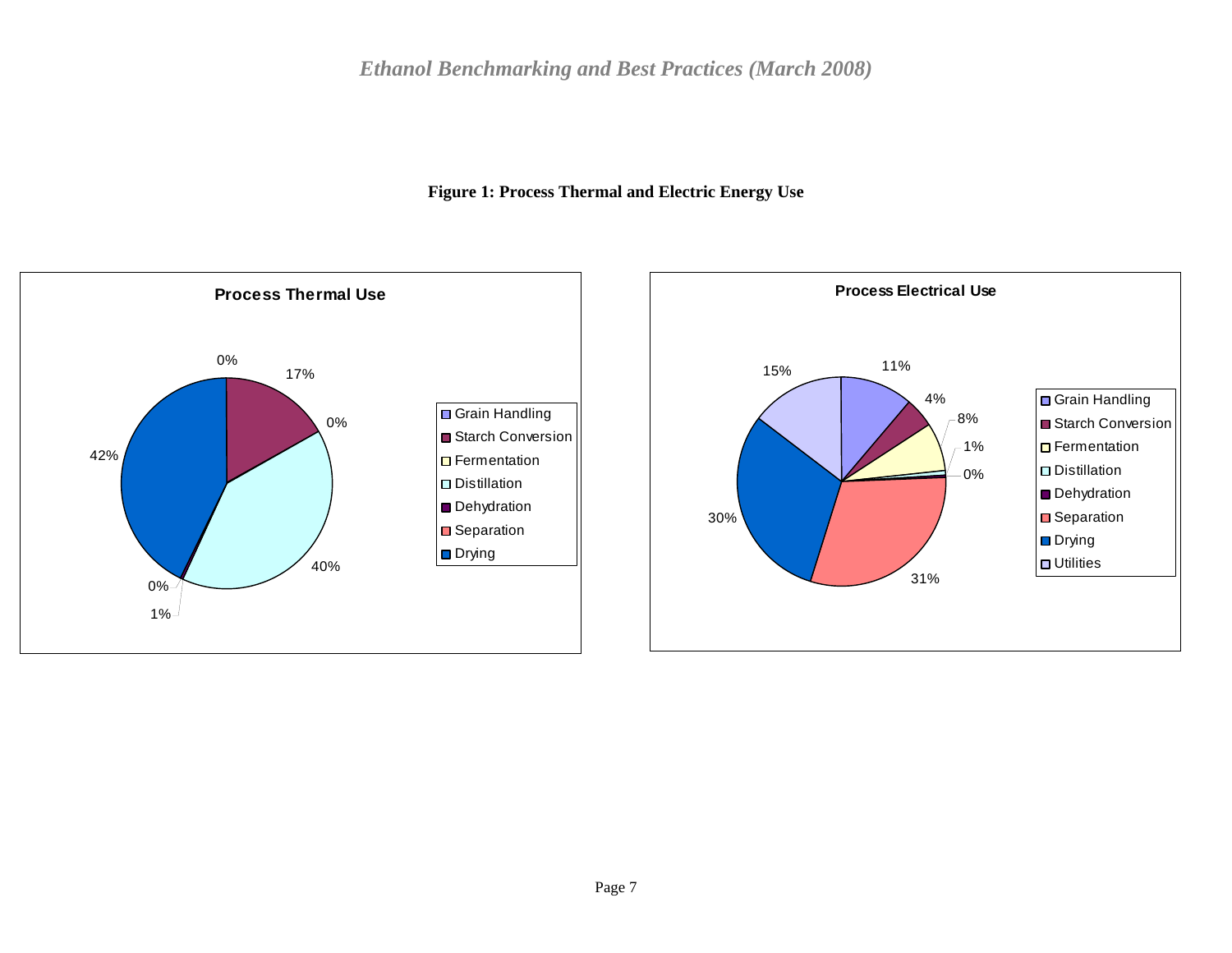

<span id="page-6-0"></span>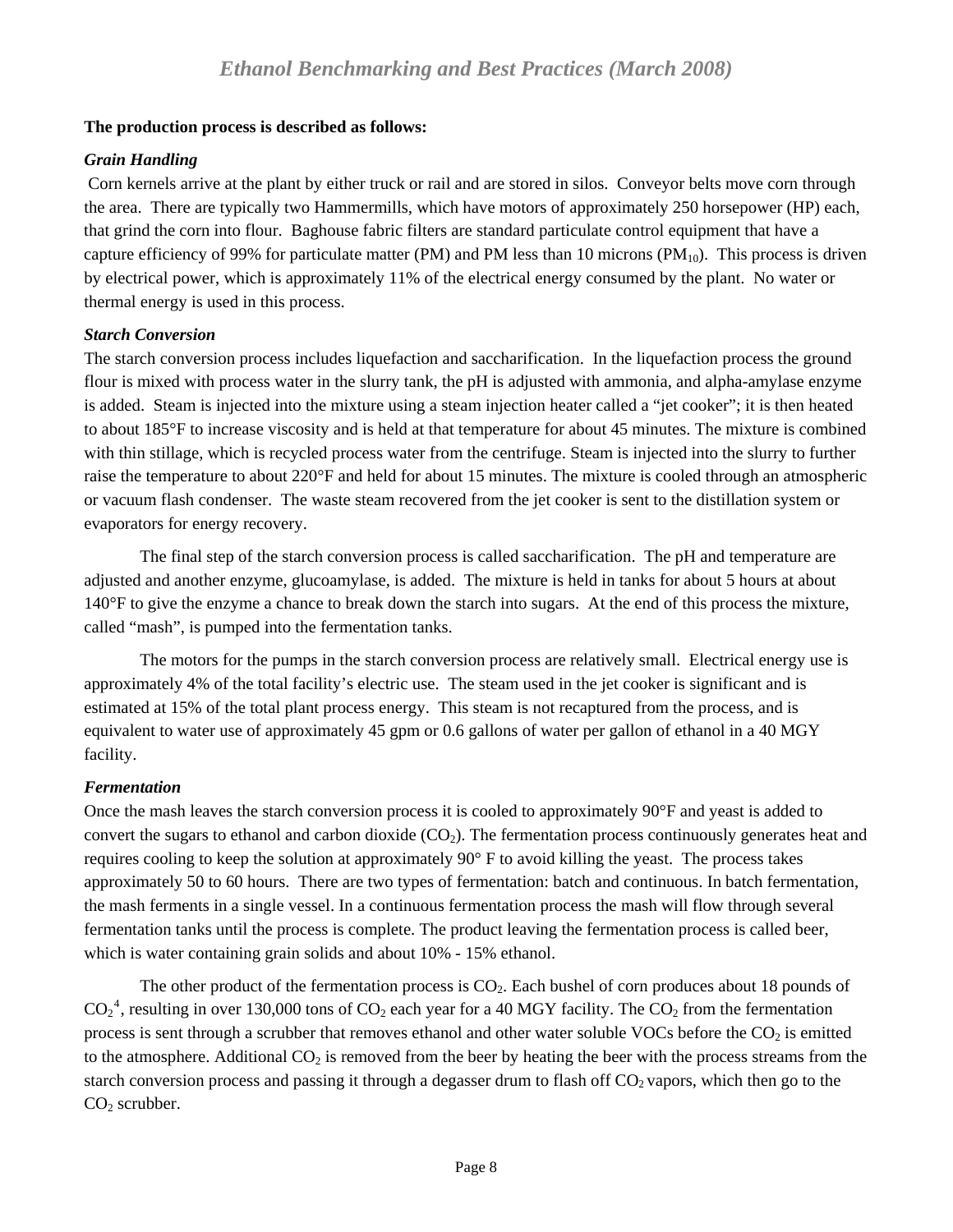## <span id="page-7-0"></span>**The production process is described as follows:**

## *Grain Handling*

Corn kernels arrive at the plant by either truck or rail and are stored in silos. Conveyor belts move corn through the area. There are typically two Hammermills, which have motors of approximately 250 horsepower (HP) each, that grind the corn into flour. Baghouse fabric filters are standard particulate control equipment that have a capture efficiency of 99% for particulate matter (PM) and PM less than 10 microns (PM<sub>10</sub>). This process is driven by electrical power, which is approximately 11% of the electrical energy consumed by the plant. No water or thermal energy is used in this process.

## *Starch Conversion*

The starch conversion process includes liquefaction and saccharification. In the liquefaction process the ground flour is mixed with process water in the slurry tank, the pH is adjusted with ammonia, and alpha-amylase enzyme is added. Steam is injected into the mixture using a steam injection heater called a "jet cooker"; it is then heated to about 185°F to increase viscosity and is held at that temperature for about 45 minutes. The mixture is combined with thin stillage, which is recycled process water from the centrifuge. Steam is injected into the slurry to further raise the temperature to about 220°F and held for about 15 minutes. The mixture is cooled through an atmospheric or vacuum flash condenser. The waste steam recovered from the jet cooker is sent to the distillation system or evaporators for energy recovery.

 The final step of the starch conversion process is called saccharification. The pH and temperature are adjusted and another enzyme, glucoamylase, is added. The mixture is held in tanks for about 5 hours at about 140°F to give the enzyme a chance to break down the starch into sugars. At the end of this process the mixture, called "mash", is pumped into the fermentation tanks.

 The motors for the pumps in the starch conversion process are relatively small. Electrical energy use is approximately 4% of the total facility's electric use. The steam used in the jet cooker is significant and is estimated at 15% of the total plant process energy. This steam is not recaptured from the process, and is equivalent to water use of approximately 45 gpm or 0.6 gallons of water per gallon of ethanol in a 40 MGY facility.

# *Fermentation*

Once the mash leaves the starch conversion process it is cooled to approximately 90°F and yeast is added to convert the sugars to ethanol and carbon dioxide  $(CO<sub>2</sub>)$ . The fermentation process continuously generates heat and requires cooling to keep the solution at approximately 90° F to avoid killing the yeast. The process takes approximately 50 to 60 hours. There are two types of fermentation: batch and continuous. In batch fermentation, the mash ferments in a single vessel. In a continuous fermentation process the mash will flow through several fermentation tanks until the process is complete. The product leaving the fermentation process is called beer, which is water containing grain solids and about 10% - 15% ethanol.

The other product of the fermentation process is  $CO<sub>2</sub>$ . Each bushel of corn produces about 18 pounds of  $CO_2^4$  $CO_2^4$ , resulting in over 130,000 tons of  $CO_2$  each year for a 40 MGY facility. The  $CO_2$  from the fermentation process is sent through a scrubber that removes ethanol and other water soluble VOCs before the  $CO<sub>2</sub>$  is emitted to the atmosphere. Additional  $CO<sub>2</sub>$  is removed from the beer by heating the beer with the process streams from the starch conversion process and passing it through a degasser drum to flash off CO2 vapors, which then go to the  $CO<sub>2</sub>$  scrubber.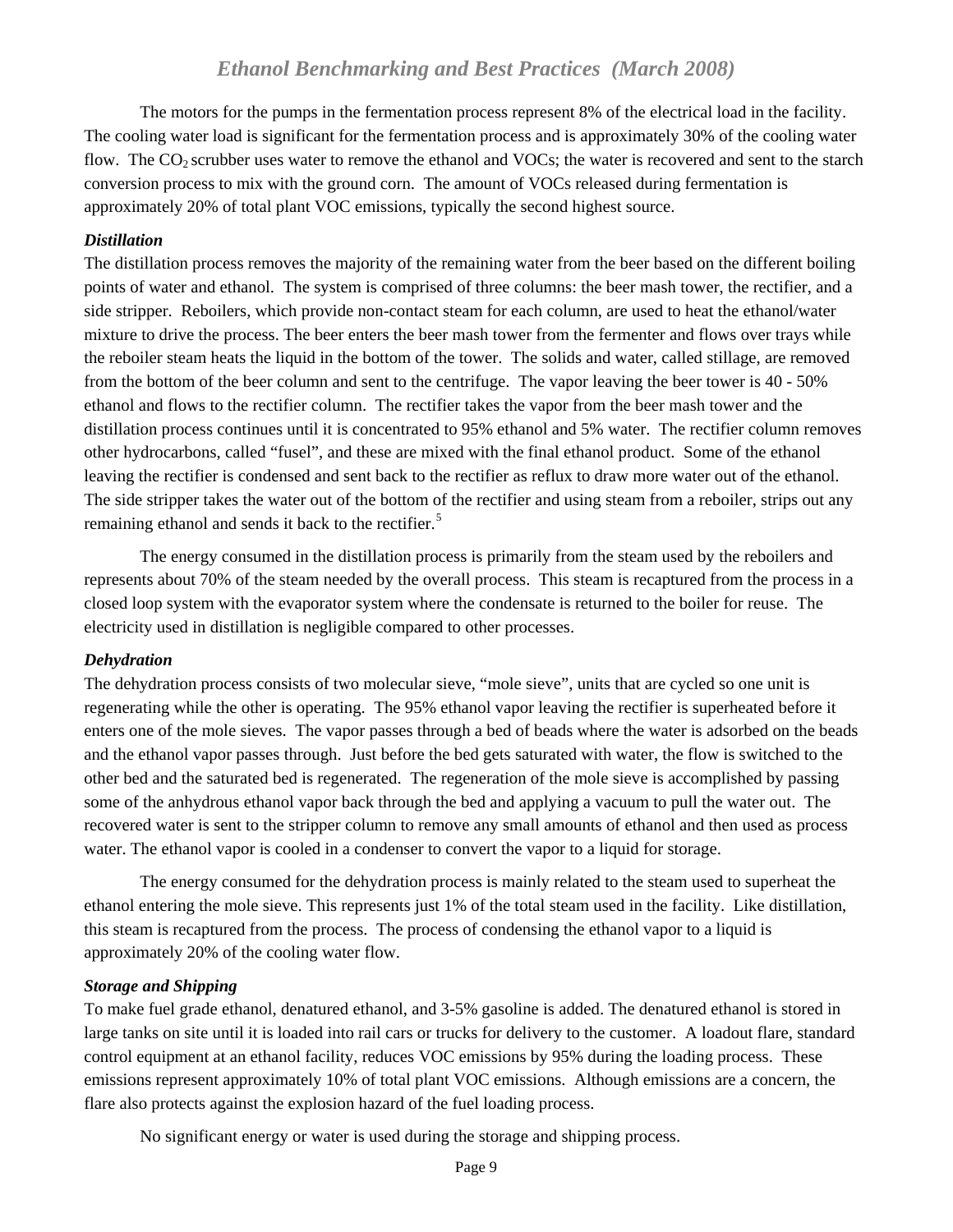<span id="page-8-0"></span> The motors for the pumps in the fermentation process represent 8% of the electrical load in the facility. The cooling water load is significant for the fermentation process and is approximately 30% of the cooling water flow. The  $CO<sub>2</sub>$  scrubber uses water to remove the ethanol and VOCs; the water is recovered and sent to the starch conversion process to mix with the ground corn. The amount of VOCs released during fermentation is approximately 20% of total plant VOC emissions, typically the second highest source.

#### *Distillation*

The distillation process removes the majority of the remaining water from the beer based on the different boiling points of water and ethanol. The system is comprised of three columns: the beer mash tower, the rectifier, and a side stripper. Reboilers, which provide non-contact steam for each column, are used to heat the ethanol/water mixture to drive the process. The beer enters the beer mash tower from the fermenter and flows over trays while the reboiler steam heats the liquid in the bottom of the tower. The solids and water, called stillage, are removed from the bottom of the beer column and sent to the centrifuge. The vapor leaving the beer tower is 40 - 50% ethanol and flows to the rectifier column. The rectifier takes the vapor from the beer mash tower and the distillation process continues until it is concentrated to 95% ethanol and 5% water. The rectifier column removes other hydrocarbons, called "fusel", and these are mixed with the final ethanol product. Some of the ethanol leaving the rectifier is condensed and sent back to the rectifier as reflux to draw more water out of the ethanol. The side stripper takes the water out of the bottom of the rectifier and using steam from a reboiler, strips out any remaining ethanol and sends it back to the rectifier.<sup>[5](#page-33-2)</sup>

 The energy consumed in the distillation process is primarily from the steam used by the reboilers and represents about 70% of the steam needed by the overall process. This steam is recaptured from the process in a closed loop system with the evaporator system where the condensate is returned to the boiler for reuse. The electricity used in distillation is negligible compared to other processes.

#### *Dehydration*

The dehydration process consists of two molecular sieve, "mole sieve", units that are cycled so one unit is regenerating while the other is operating. The 95% ethanol vapor leaving the rectifier is superheated before it enters one of the mole sieves. The vapor passes through a bed of beads where the water is adsorbed on the beads and the ethanol vapor passes through. Just before the bed gets saturated with water, the flow is switched to the other bed and the saturated bed is regenerated. The regeneration of the mole sieve is accomplished by passing some of the anhydrous ethanol vapor back through the bed and applying a vacuum to pull the water out. The recovered water is sent to the stripper column to remove any small amounts of ethanol and then used as process water. The ethanol vapor is cooled in a condenser to convert the vapor to a liquid for storage.

 The energy consumed for the dehydration process is mainly related to the steam used to superheat the ethanol entering the mole sieve. This represents just 1% of the total steam used in the facility. Like distillation, this steam is recaptured from the process. The process of condensing the ethanol vapor to a liquid is approximately 20% of the cooling water flow.

#### *Storage and Shipping*

To make fuel grade ethanol, denatured ethanol, and 3-5% gasoline is added. The denatured ethanol is stored in large tanks on site until it is loaded into rail cars or trucks for delivery to the customer. A loadout flare, standard control equipment at an ethanol facility, reduces VOC emissions by 95% during the loading process. These emissions represent approximately 10% of total plant VOC emissions. Although emissions are a concern, the flare also protects against the explosion hazard of the fuel loading process.

No significant energy or water is used during the storage and shipping process.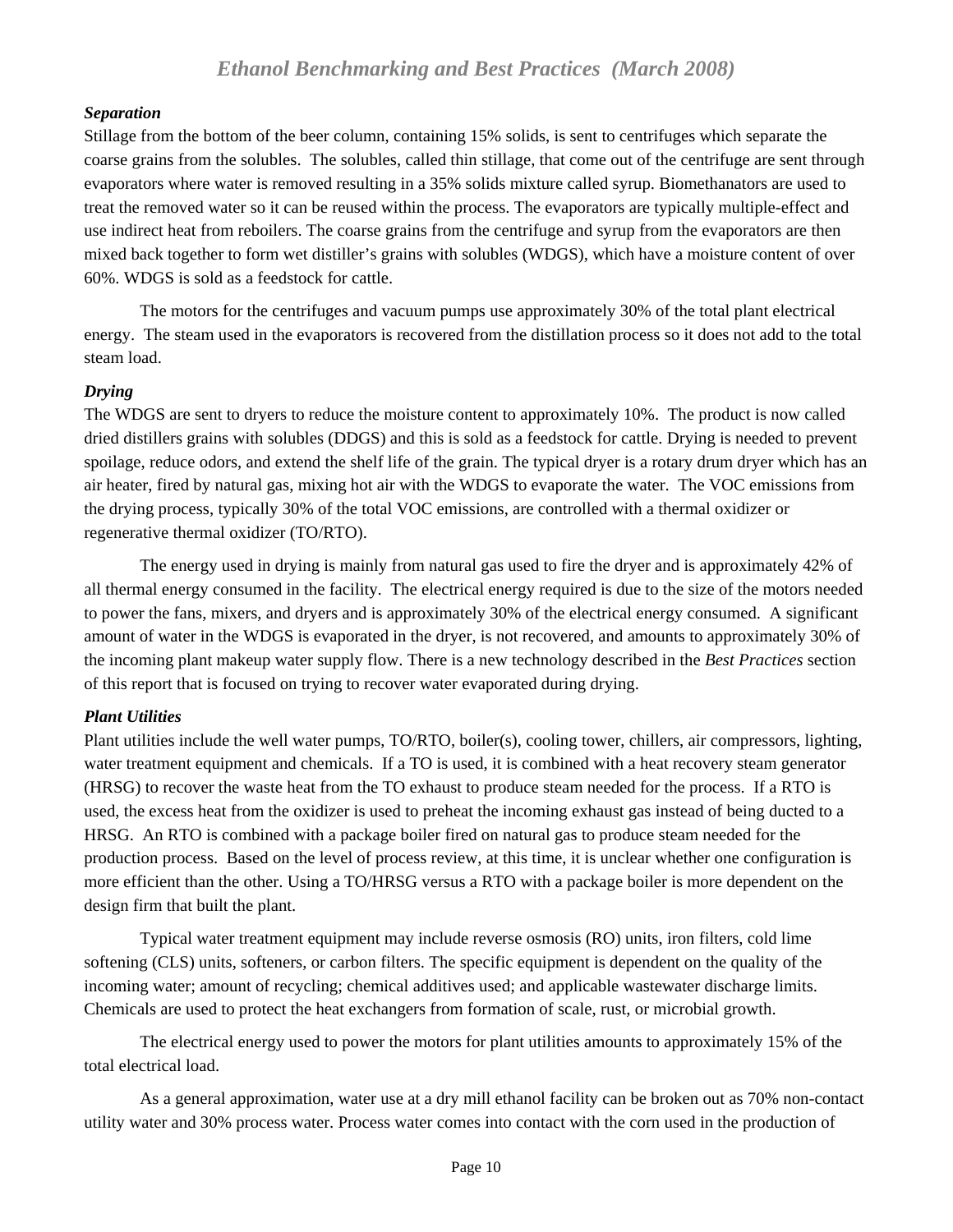#### <span id="page-9-0"></span>*Separation*

Stillage from the bottom of the beer column, containing 15% solids, is sent to centrifuges which separate the coarse grains from the solubles. The solubles, called thin stillage, that come out of the centrifuge are sent through evaporators where water is removed resulting in a 35% solids mixture called syrup. Biomethanators are used to treat the removed water so it can be reused within the process. The evaporators are typically multiple-effect and use indirect heat from reboilers. The coarse grains from the centrifuge and syrup from the evaporators are then mixed back together to form wet distiller's grains with solubles (WDGS), which have a moisture content of over 60%. WDGS is sold as a feedstock for cattle.

 The motors for the centrifuges and vacuum pumps use approximately 30% of the total plant electrical energy. The steam used in the evaporators is recovered from the distillation process so it does not add to the total steam load.

#### *Drying*

The WDGS are sent to dryers to reduce the moisture content to approximately 10%. The product is now called dried distillers grains with solubles (DDGS) and this is sold as a feedstock for cattle. Drying is needed to prevent spoilage, reduce odors, and extend the shelf life of the grain. The typical dryer is a rotary drum dryer which has an air heater, fired by natural gas, mixing hot air with the WDGS to evaporate the water. The VOC emissions from the drying process, typically 30% of the total VOC emissions, are controlled with a thermal oxidizer or regenerative thermal oxidizer (TO/RTO).

 The energy used in drying is mainly from natural gas used to fire the dryer and is approximately 42% of all thermal energy consumed in the facility. The electrical energy required is due to the size of the motors needed to power the fans, mixers, and dryers and is approximately 30% of the electrical energy consumed. A significant amount of water in the WDGS is evaporated in the dryer, is not recovered, and amounts to approximately 30% of the incoming plant makeup water supply flow. There is a new technology described in the *Best Practices* section of this report that is focused on trying to recover water evaporated during drying.

#### *Plant Utilities*

Plant utilities include the well water pumps, TO/RTO, boiler(s), cooling tower, chillers, air compressors, lighting, water treatment equipment and chemicals. If a TO is used, it is combined with a heat recovery steam generator (HRSG) to recover the waste heat from the TO exhaust to produce steam needed for the process. If a RTO is used, the excess heat from the oxidizer is used to preheat the incoming exhaust gas instead of being ducted to a HRSG. An RTO is combined with a package boiler fired on natural gas to produce steam needed for the production process. Based on the level of process review, at this time, it is unclear whether one configuration is more efficient than the other. Using a TO/HRSG versus a RTO with a package boiler is more dependent on the design firm that built the plant.

 Typical water treatment equipment may include reverse osmosis (RO) units, iron filters, cold lime softening (CLS) units, softeners, or carbon filters. The specific equipment is dependent on the quality of the incoming water; amount of recycling; chemical additives used; and applicable wastewater discharge limits. Chemicals are used to protect the heat exchangers from formation of scale, rust, or microbial growth.

 The electrical energy used to power the motors for plant utilities amounts to approximately 15% of the total electrical load.

 As a general approximation, water use at a dry mill ethanol facility can be broken out as 70% non-contact utility water and 30% process water. Process water comes into contact with the corn used in the production of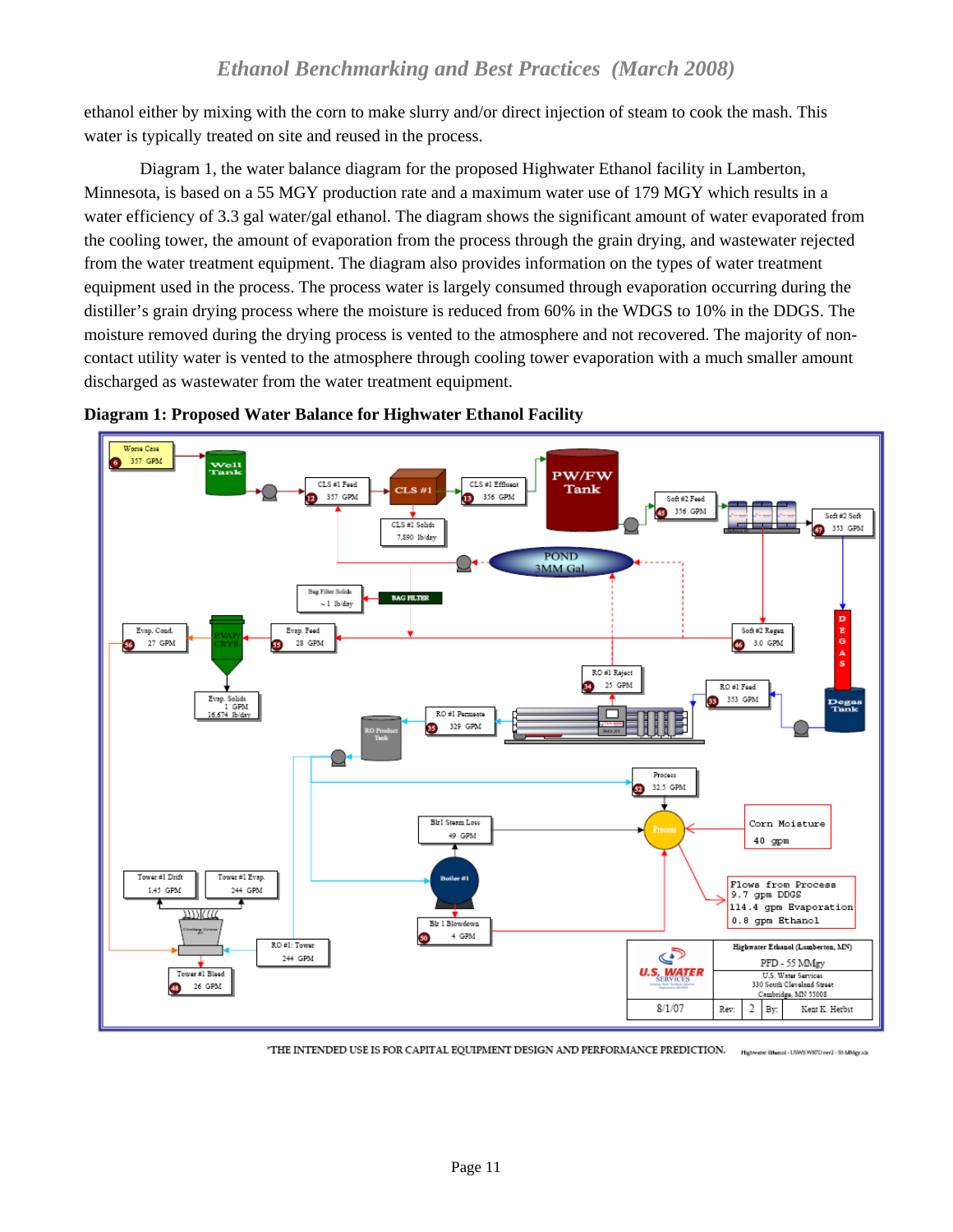<span id="page-10-0"></span>ethanol either by mixing with the corn to make slurry and/or direct injection of steam to cook the mash. This water is typically treated on site and reused in the process.

 Diagram 1, the water balance diagram for the proposed Highwater Ethanol facility in Lamberton, Minnesota, is based on a 55 MGY production rate and a maximum water use of 179 MGY which results in a water efficiency of 3.3 gal water/gal ethanol. The diagram shows the significant amount of water evaporated from the cooling tower, the amount of evaporation from the process through the grain drying, and wastewater rejected from the water treatment equipment. The diagram also provides information on the types of water treatment equipment used in the process. The process water is largely consumed through evaporation occurring during the distiller's grain drying process where the moisture is reduced from 60% in the WDGS to 10% in the DDGS. The moisture removed during the drying process is vented to the atmosphere and not recovered. The majority of noncontact utility water is vented to the atmosphere through cooling tower evaporation with a much smaller amount discharged as wastewater from the water treatment equipment.





<sup>\*</sup>THE INTENDED USE IS FOR CAPITAL EQUIPMENT DESIGN AND PERFORMANCE PREDICTION. ster Ethanol - USWS WB7D rev2 - 55 MMgy.ala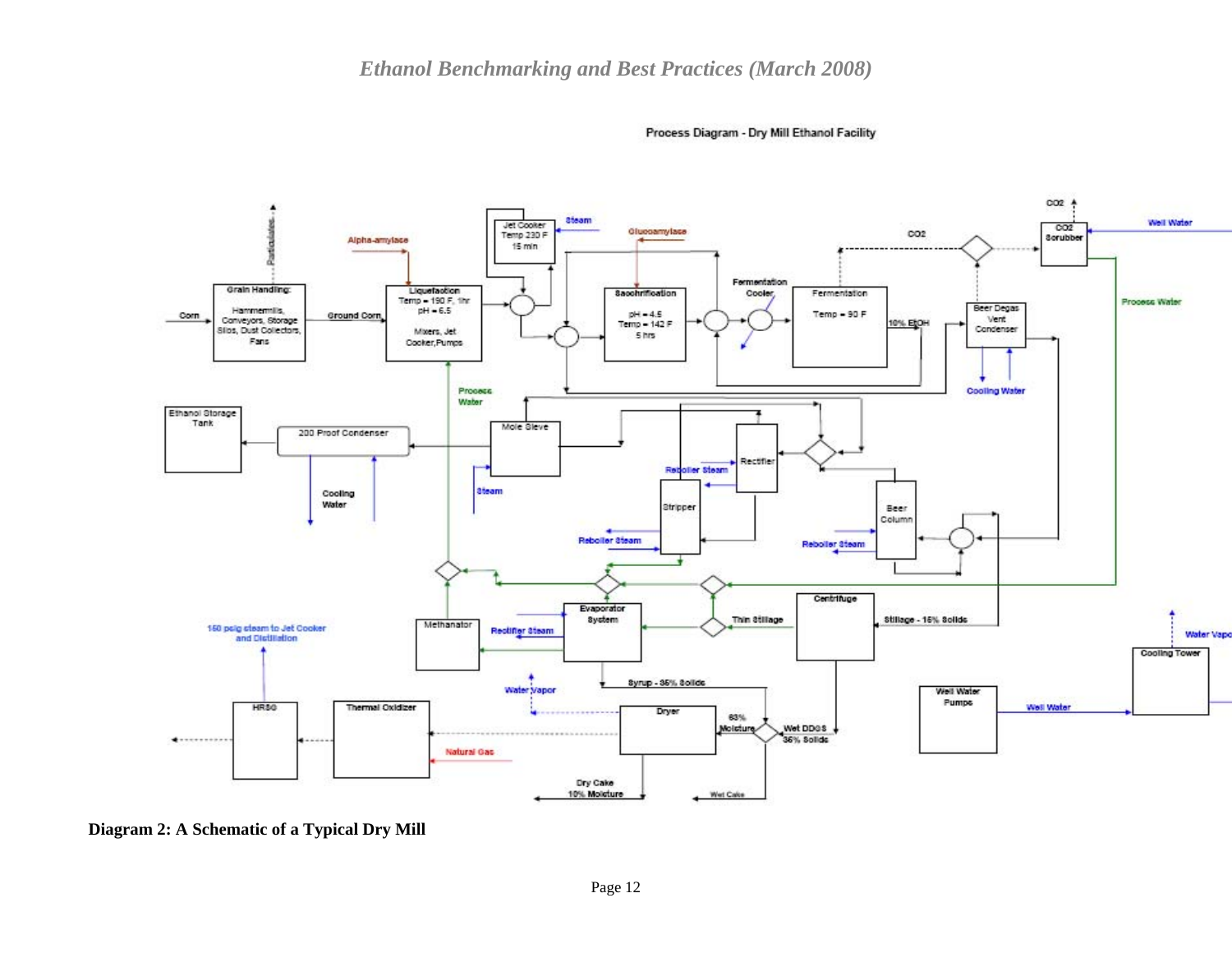

Process Diagram - Dry Mill Ethanol Facility

<span id="page-11-0"></span> **Diagram 2: A Schematic of a Typical Dry Mill**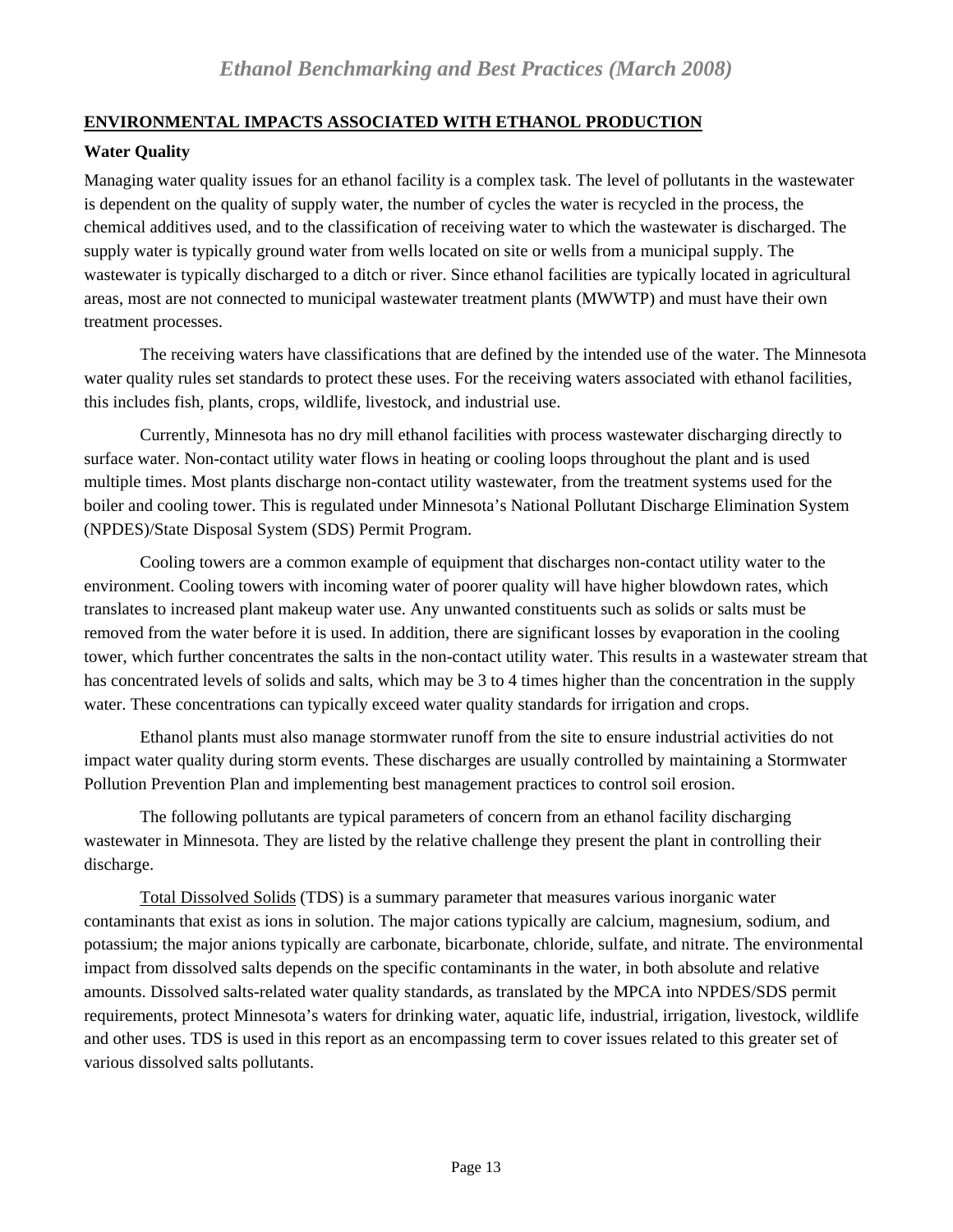## <span id="page-12-0"></span>**ENVIRONMENTAL IMPACTS ASSOCIATED WITH ETHANOL PRODUCTION**

## **Water Quality**

Managing water quality issues for an ethanol facility is a complex task. The level of pollutants in the wastewater is dependent on the quality of supply water, the number of cycles the water is recycled in the process, the chemical additives used, and to the classification of receiving water to which the wastewater is discharged. The supply water is typically ground water from wells located on site or wells from a municipal supply. The wastewater is typically discharged to a ditch or river. Since ethanol facilities are typically located in agricultural areas, most are not connected to municipal wastewater treatment plants (MWWTP) and must have their own treatment processes.

 The receiving waters have classifications that are defined by the intended use of the water. The Minnesota water quality rules set standards to protect these uses. For the receiving waters associated with ethanol facilities, this includes fish, plants, crops, wildlife, livestock, and industrial use.

 Currently, Minnesota has no dry mill ethanol facilities with process wastewater discharging directly to surface water. Non-contact utility water flows in heating or cooling loops throughout the plant and is used multiple times. Most plants discharge non-contact utility wastewater, from the treatment systems used for the boiler and cooling tower. This is regulated under Minnesota's National Pollutant Discharge Elimination System (NPDES)/State Disposal System (SDS) Permit Program.

 Cooling towers are a common example of equipment that discharges non-contact utility water to the environment. Cooling towers with incoming water of poorer quality will have higher blowdown rates, which translates to increased plant makeup water use. Any unwanted constituents such as solids or salts must be removed from the water before it is used. In addition, there are significant losses by evaporation in the cooling tower, which further concentrates the salts in the non-contact utility water. This results in a wastewater stream that has concentrated levels of solids and salts, which may be 3 to 4 times higher than the concentration in the supply water. These concentrations can typically exceed water quality standards for irrigation and crops.

 Ethanol plants must also manage stormwater runoff from the site to ensure industrial activities do not impact water quality during storm events. These discharges are usually controlled by maintaining a Stormwater Pollution Prevention Plan and implementing best management practices to control soil erosion.

 The following pollutants are typical parameters of concern from an ethanol facility discharging wastewater in Minnesota. They are listed by the relative challenge they present the plant in controlling their discharge.

Total Dissolved Solids (TDS) is a summary parameter that measures various inorganic water contaminants that exist as ions in solution. The major cations typically are calcium, magnesium, sodium, and potassium; the major anions typically are carbonate, bicarbonate, chloride, sulfate, and nitrate. The environmental impact from dissolved salts depends on the specific contaminants in the water, in both absolute and relative amounts. Dissolved salts-related water quality standards, as translated by the MPCA into NPDES/SDS permit requirements, protect Minnesota's waters for drinking water, aquatic life, industrial, irrigation, livestock, wildlife and other uses. TDS is used in this report as an encompassing term to cover issues related to this greater set of various dissolved salts pollutants.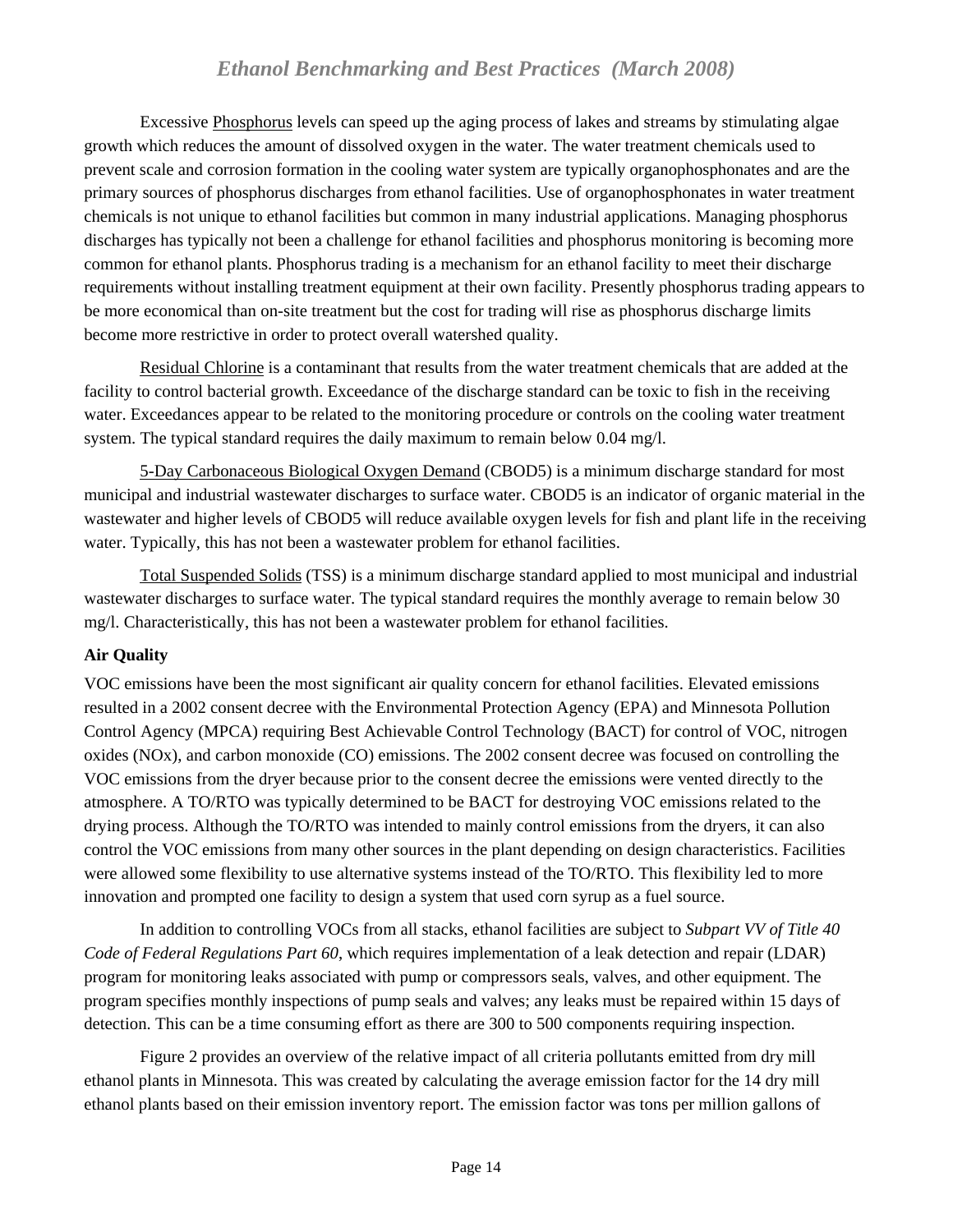<span id="page-13-0"></span> Excessive Phosphorus levels can speed up the aging process of lakes and streams by stimulating algae growth which reduces the amount of dissolved oxygen in the water. The water treatment chemicals used to prevent scale and corrosion formation in the cooling water system are typically organophosphonates and are the primary sources of phosphorus discharges from ethanol facilities. Use of organophosphonates in water treatment chemicals is not unique to ethanol facilities but common in many industrial applications. Managing phosphorus discharges has typically not been a challenge for ethanol facilities and phosphorus monitoring is becoming more common for ethanol plants. Phosphorus trading is a mechanism for an ethanol facility to meet their discharge requirements without installing treatment equipment at their own facility. Presently phosphorus trading appears to be more economical than on-site treatment but the cost for trading will rise as phosphorus discharge limits become more restrictive in order to protect overall watershed quality.

Residual Chlorine is a contaminant that results from the water treatment chemicals that are added at the facility to control bacterial growth. Exceedance of the discharge standard can be toxic to fish in the receiving water. Exceedances appear to be related to the monitoring procedure or controls on the cooling water treatment system. The typical standard requires the daily maximum to remain below 0.04 mg/l.

5-Day Carbonaceous Biological Oxygen Demand (CBOD5) is a minimum discharge standard for most municipal and industrial wastewater discharges to surface water. CBOD5 is an indicator of organic material in the wastewater and higher levels of CBOD5 will reduce available oxygen levels for fish and plant life in the receiving water. Typically, this has not been a wastewater problem for ethanol facilities.

Total Suspended Solids (TSS) is a minimum discharge standard applied to most municipal and industrial wastewater discharges to surface water. The typical standard requires the monthly average to remain below 30 mg/l. Characteristically, this has not been a wastewater problem for ethanol facilities.

## **Air Quality**

VOC emissions have been the most significant air quality concern for ethanol facilities. Elevated emissions resulted in a 2002 consent decree with the Environmental Protection Agency (EPA) and Minnesota Pollution Control Agency (MPCA) requiring Best Achievable Control Technology (BACT) for control of VOC, nitrogen oxides (NOx), and carbon monoxide (CO) emissions. The 2002 consent decree was focused on controlling the VOC emissions from the dryer because prior to the consent decree the emissions were vented directly to the atmosphere. A TO/RTO was typically determined to be BACT for destroying VOC emissions related to the drying process. Although the TO/RTO was intended to mainly control emissions from the dryers, it can also control the VOC emissions from many other sources in the plant depending on design characteristics. Facilities were allowed some flexibility to use alternative systems instead of the TO/RTO. This flexibility led to more innovation and prompted one facility to design a system that used corn syrup as a fuel source.

 In addition to controlling VOCs from all stacks, ethanol facilities are subject to *Subpart VV of Title 40 Code of Federal Regulations Part 60*, which requires implementation of a leak detection and repair (LDAR) program for monitoring leaks associated with pump or compressors seals, valves, and other equipment. The program specifies monthly inspections of pump seals and valves; any leaks must be repaired within 15 days of detection. This can be a time consuming effort as there are 300 to 500 components requiring inspection.

 Figure 2 provides an overview of the relative impact of all criteria pollutants emitted from dry mill ethanol plants in Minnesota. This was created by calculating the average emission factor for the 14 dry mill ethanol plants based on their emission inventory report. The emission factor was tons per million gallons of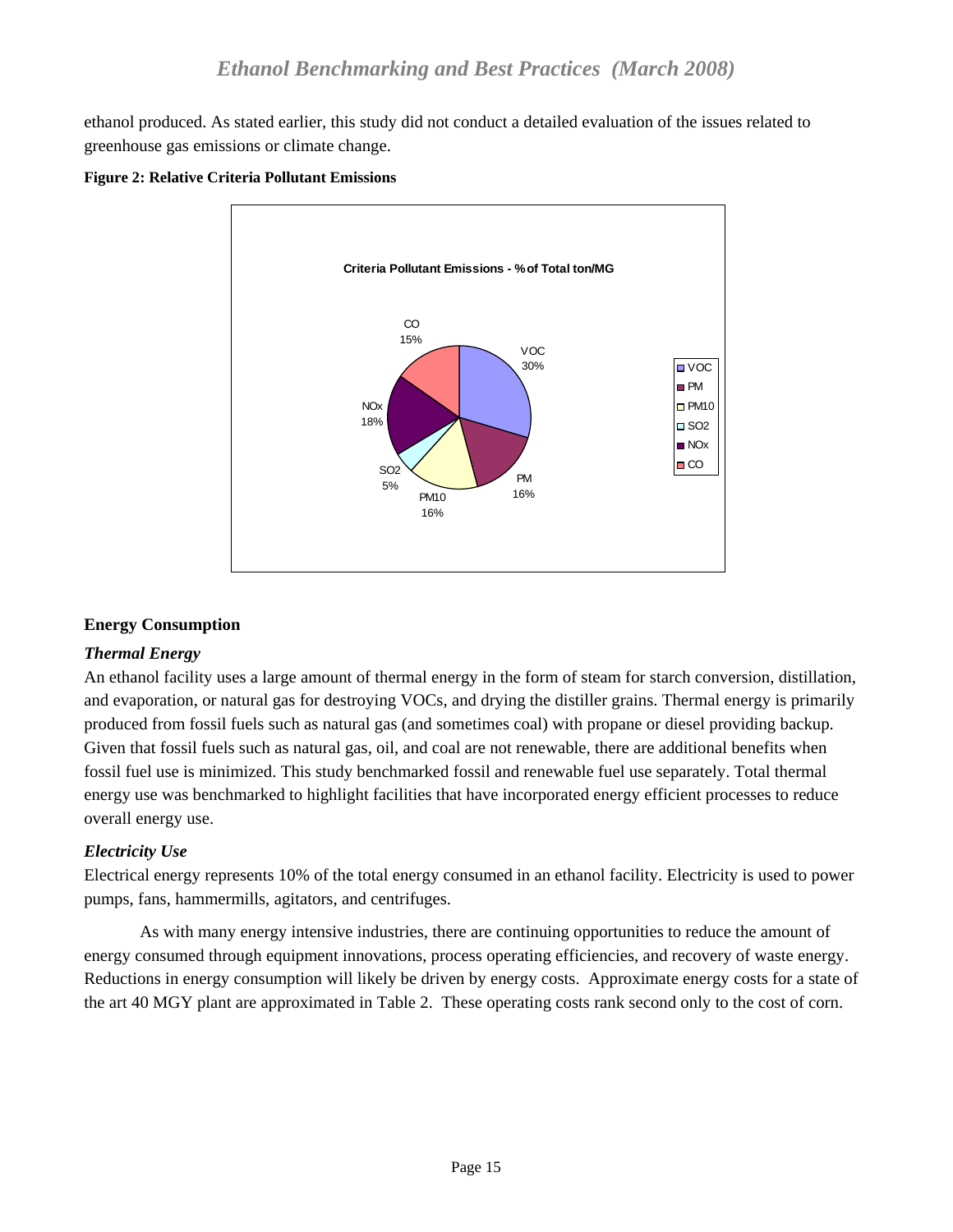<span id="page-14-0"></span>ethanol produced. As stated earlier, this study did not conduct a detailed evaluation of the issues related to greenhouse gas emissions or climate change.



**Figure 2: Relative Criteria Pollutant Emissions**

# **Energy Consumption**

## *Thermal Energy*

An ethanol facility uses a large amount of thermal energy in the form of steam for starch conversion, distillation, and evaporation, or natural gas for destroying VOCs, and drying the distiller grains. Thermal energy is primarily produced from fossil fuels such as natural gas (and sometimes coal) with propane or diesel providing backup. Given that fossil fuels such as natural gas, oil, and coal are not renewable, there are additional benefits when fossil fuel use is minimized. This study benchmarked fossil and renewable fuel use separately. Total thermal energy use was benchmarked to highlight facilities that have incorporated energy efficient processes to reduce overall energy use.

# *Electricity Use*

Electrical energy represents 10% of the total energy consumed in an ethanol facility. Electricity is used to power pumps, fans, hammermills, agitators, and centrifuges.

 As with many energy intensive industries, there are continuing opportunities to reduce the amount of energy consumed through equipment innovations, process operating efficiencies, and recovery of waste energy. Reductions in energy consumption will likely be driven by energy costs. Approximate energy costs for a state of the art 40 MGY plant are approximated in Table 2. These operating costs rank second only to the cost of corn.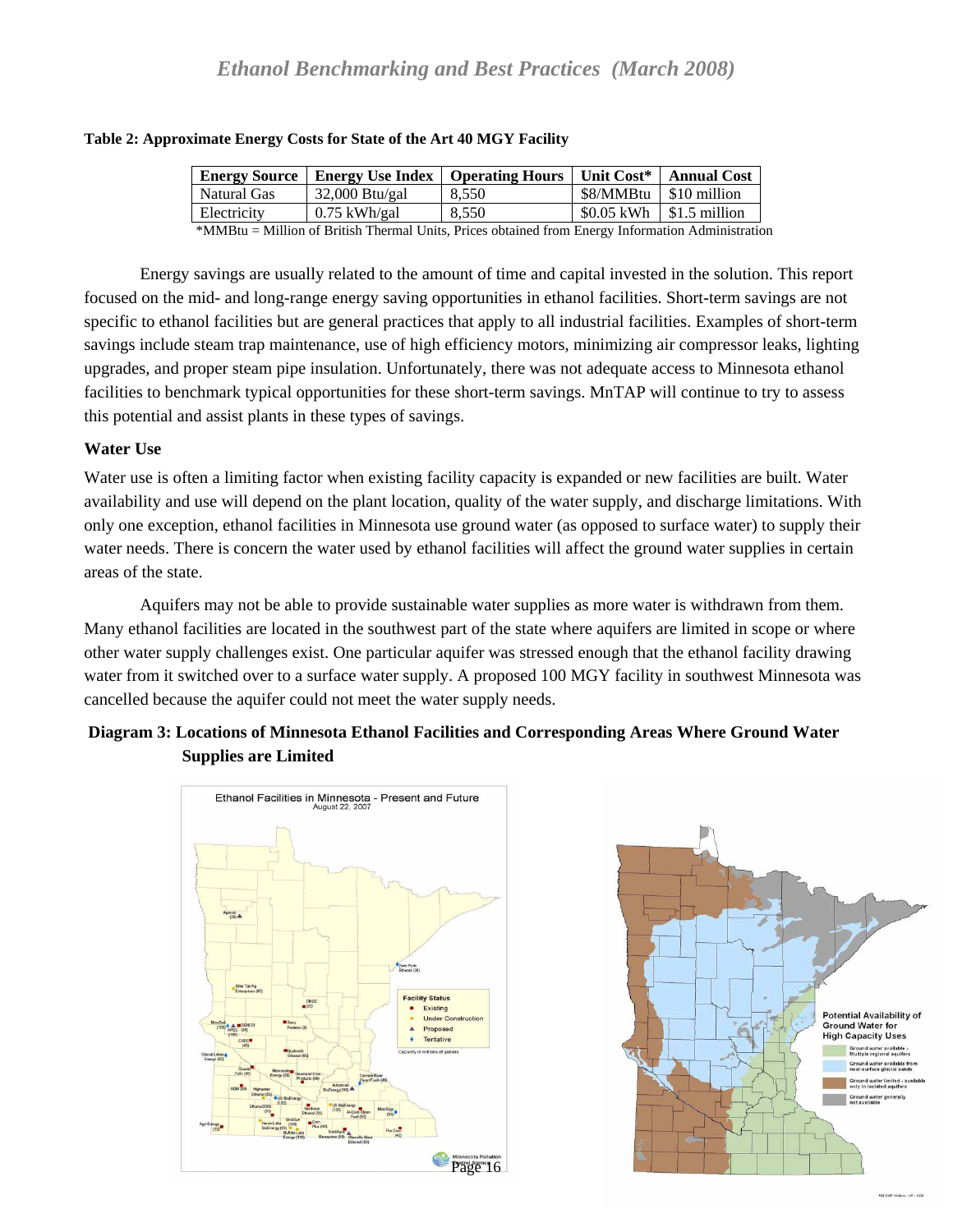| <b>Energy Source</b> | Energy Use Index   Operating Hours   Unit Cost*   Annual Cost |       |                          |                             |
|----------------------|---------------------------------------------------------------|-------|--------------------------|-----------------------------|
| Natural Gas          | $32,000$ Btu/gal                                              | 8.550 | \$8/MMBtu   \$10 million |                             |
| Electricity          | $0.75$ kWh/gal                                                | 8.550 |                          | $$0.05$ kWh $ $1.5$ million |

#### <span id="page-15-0"></span>**Table 2: Approximate Energy Costs for State of the Art 40 MGY Facility**

\*MMBtu = Million of British Thermal Units, Prices obtained from Energy Information Administration

 Energy savings are usually related to the amount of time and capital invested in the solution. This report focused on the mid- and long-range energy saving opportunities in ethanol facilities. Short-term savings are not specific to ethanol facilities but are general practices that apply to all industrial facilities. Examples of short-term savings include steam trap maintenance, use of high efficiency motors, minimizing air compressor leaks, lighting upgrades, and proper steam pipe insulation. Unfortunately, there was not adequate access to Minnesota ethanol facilities to benchmark typical opportunities for these short-term savings. MnTAP will continue to try to assess this potential and assist plants in these types of savings.

#### **Water Use**

Water use is often a limiting factor when existing facility capacity is expanded or new facilities are built. Water availability and use will depend on the plant location, quality of the water supply, and discharge limitations. With only one exception, ethanol facilities in Minnesota use ground water (as opposed to surface water) to supply their water needs. There is concern the water used by ethanol facilities will affect the ground water supplies in certain areas of the state.

 Aquifers may not be able to provide sustainable water supplies as more water is withdrawn from them. Many ethanol facilities are located in the southwest part of the state where aquifers are limited in scope or where other water supply challenges exist. One particular aquifer was stressed enough that the ethanol facility drawing water from it switched over to a surface water supply. A proposed 100 MGY facility in southwest Minnesota was cancelled because the aquifer could not meet the water supply needs.

## **Diagram 3: Locations of Minnesota Ethanol Facilities and Corresponding Areas Where Ground Water Supplies are Limited**



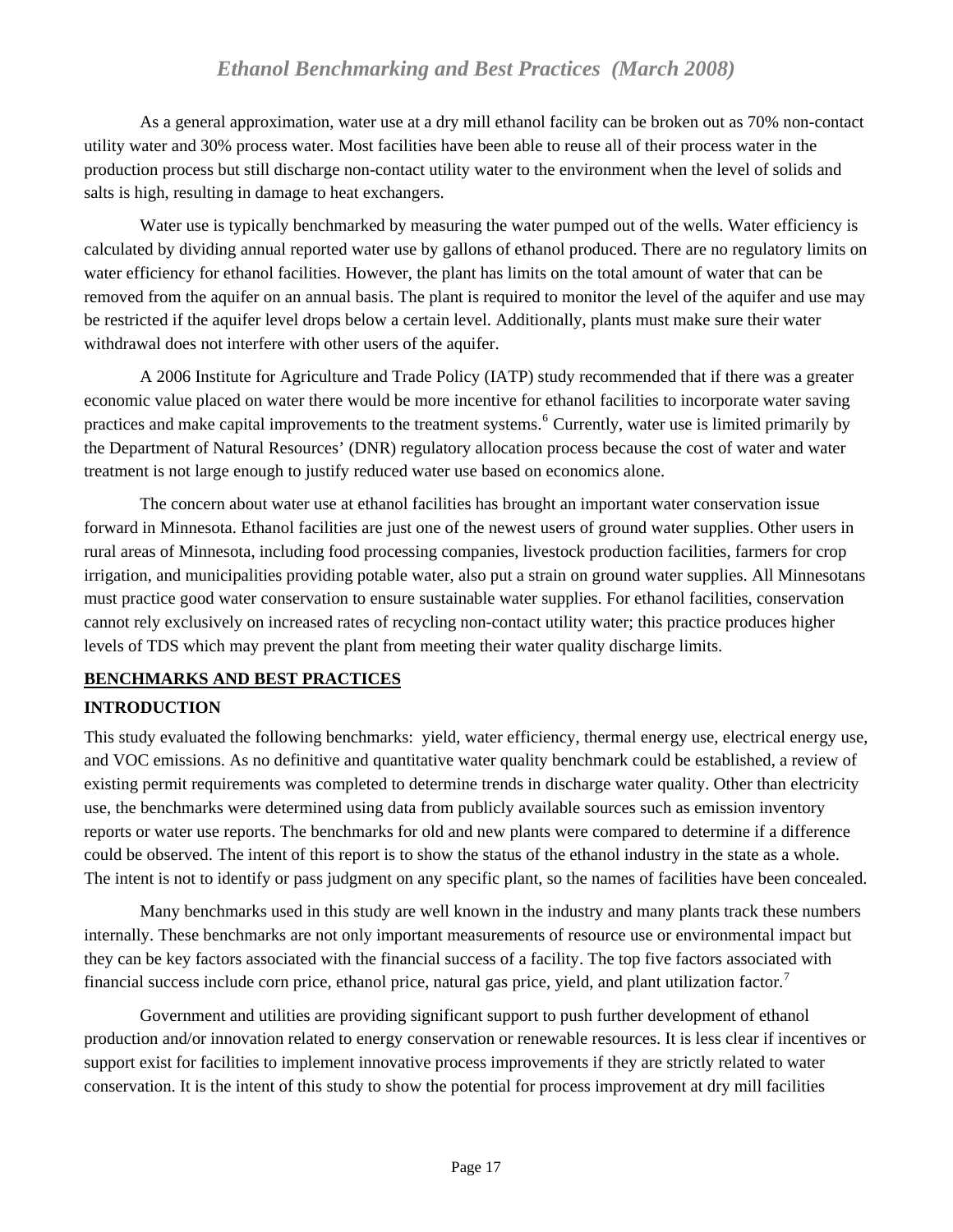<span id="page-16-0"></span> As a general approximation, water use at a dry mill ethanol facility can be broken out as 70% non-contact utility water and 30% process water. Most facilities have been able to reuse all of their process water in the production process but still discharge non-contact utility water to the environment when the level of solids and salts is high, resulting in damage to heat exchangers.

 Water use is typically benchmarked by measuring the water pumped out of the wells. Water efficiency is calculated by dividing annual reported water use by gallons of ethanol produced. There are no regulatory limits on water efficiency for ethanol facilities. However, the plant has limits on the total amount of water that can be removed from the aquifer on an annual basis. The plant is required to monitor the level of the aquifer and use may be restricted if the aquifer level drops below a certain level. Additionally, plants must make sure their water withdrawal does not interfere with other users of the aquifer.

 A 2006 Institute for Agriculture and Trade Policy (IATP) study recommended that if there was a greater economic value placed on water there would be more incentive for ethanol facilities to incorporate water saving practices and make capital improvements to the treatment systems.<sup>[6](#page-33-3)</sup> Currently, water use is limited primarily by the Department of Natural Resources' (DNR) regulatory allocation process because the cost of water and water treatment is not large enough to justify reduced water use based on economics alone.

 The concern about water use at ethanol facilities has brought an important water conservation issue forward in Minnesota. Ethanol facilities are just one of the newest users of ground water supplies. Other users in rural areas of Minnesota, including food processing companies, livestock production facilities, farmers for crop irrigation, and municipalities providing potable water, also put a strain on ground water supplies. All Minnesotans must practice good water conservation to ensure sustainable water supplies. For ethanol facilities, conservation cannot rely exclusively on increased rates of recycling non-contact utility water; this practice produces higher levels of TDS which may prevent the plant from meeting their water quality discharge limits.

## **BENCHMARKS AND BEST PRACTICES**

## **INTRODUCTION**

This study evaluated the following benchmarks: yield, water efficiency, thermal energy use, electrical energy use, and VOC emissions. As no definitive and quantitative water quality benchmark could be established, a review of existing permit requirements was completed to determine trends in discharge water quality. Other than electricity use, the benchmarks were determined using data from publicly available sources such as emission inventory reports or water use reports. The benchmarks for old and new plants were compared to determine if a difference could be observed. The intent of this report is to show the status of the ethanol industry in the state as a whole. The intent is not to identify or pass judgment on any specific plant, so the names of facilities have been concealed.

 Many benchmarks used in this study are well known in the industry and many plants track these numbers internally. These benchmarks are not only important measurements of resource use or environmental impact but they can be key factors associated with the financial success of a facility. The top five factors associated with financial success include corn price, ethanol price, natural gas price, yield, and plant utilization factor.<sup>[7](#page-33-3)</sup>

 Government and utilities are providing significant support to push further development of ethanol production and/or innovation related to energy conservation or renewable resources. It is less clear if incentives or support exist for facilities to implement innovative process improvements if they are strictly related to water conservation. It is the intent of this study to show the potential for process improvement at dry mill facilities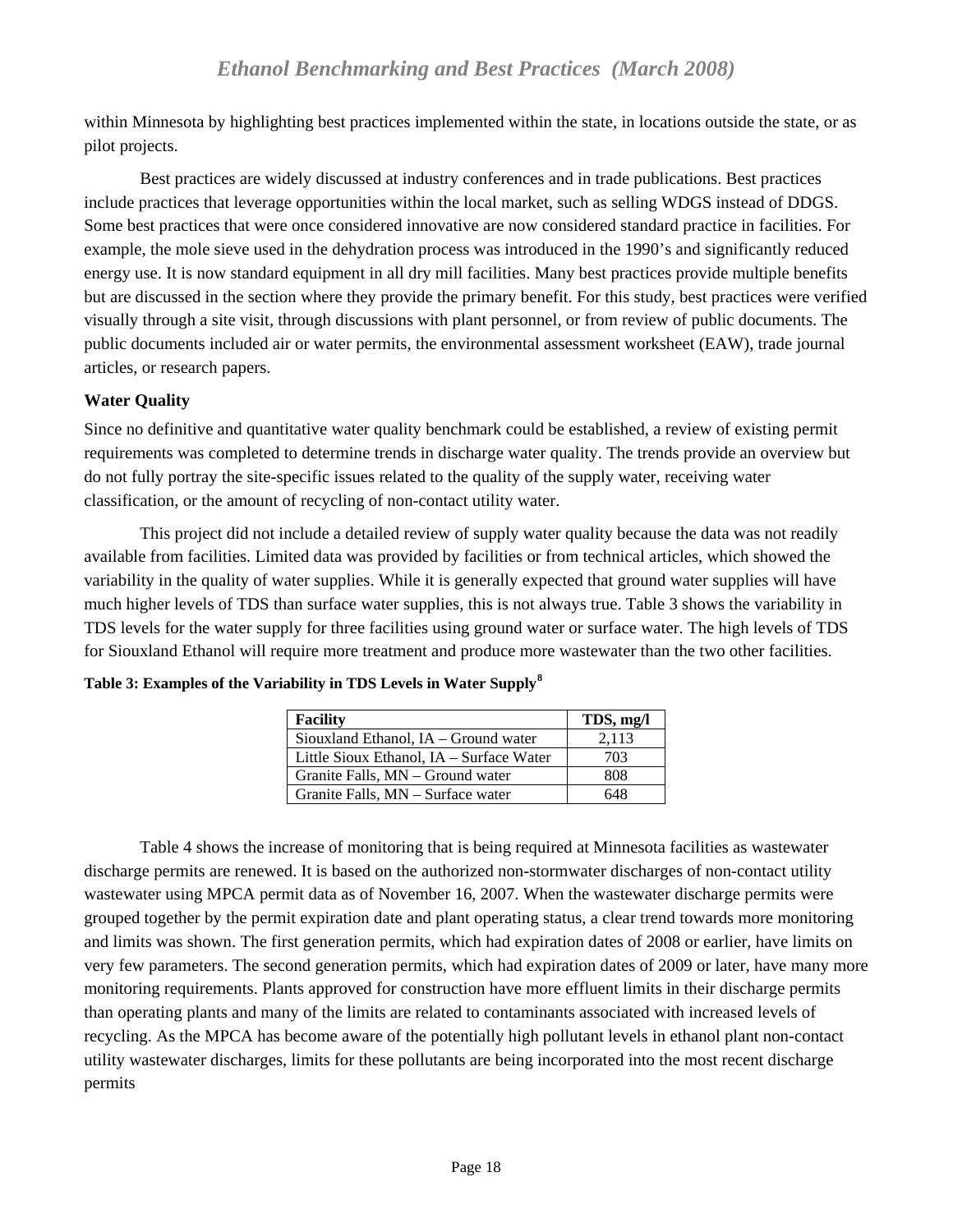<span id="page-17-0"></span>within Minnesota by highlighting best practices implemented within the state, in locations outside the state, or as pilot projects.

 Best practices are widely discussed at industry conferences and in trade publications. Best practices include practices that leverage opportunities within the local market, such as selling WDGS instead of DDGS. Some best practices that were once considered innovative are now considered standard practice in facilities. For example, the mole sieve used in the dehydration process was introduced in the 1990's and significantly reduced energy use. It is now standard equipment in all dry mill facilities. Many best practices provide multiple benefits but are discussed in the section where they provide the primary benefit. For this study, best practices were verified visually through a site visit, through discussions with plant personnel, or from review of public documents. The public documents included air or water permits, the environmental assessment worksheet (EAW), trade journal articles, or research papers.

## **Water Quality**

Since no definitive and quantitative water quality benchmark could be established, a review of existing permit requirements was completed to determine trends in discharge water quality. The trends provide an overview but do not fully portray the site-specific issues related to the quality of the supply water, receiving water classification, or the amount of recycling of non-contact utility water.

 This project did not include a detailed review of supply water quality because the data was not readily available from facilities. Limited data was provided by facilities or from technical articles, which showed the variability in the quality of water supplies. While it is generally expected that ground water supplies will have much higher levels of TDS than surface water supplies, this is not always true. Table 3 shows the variability in TDS levels for the water supply for three facilities using ground water or surface water. The high levels of TDS for Siouxland Ethanol will require more treatment and produce more wastewater than the two other facilities.

| <b>Facility</b>                          | TDS, mg/l |
|------------------------------------------|-----------|
| Siouxland Ethanol, IA - Ground water     | 2,113     |
| Little Sioux Ethanol, IA – Surface Water | 703       |
| Granite Falls, MN – Ground water         | 808       |
| Granite Falls, MN – Surface water        | 648       |

**Table 3: Examples of the Variability in TDS Levels in Water Supply[8](#page-33-3)**

 Table 4 shows the increase of monitoring that is being required at Minnesota facilities as wastewater discharge permits are renewed. It is based on the authorized non-stormwater discharges of non-contact utility wastewater using MPCA permit data as of November 16, 2007. When the wastewater discharge permits were grouped together by the permit expiration date and plant operating status, a clear trend towards more monitoring and limits was shown. The first generation permits, which had expiration dates of 2008 or earlier, have limits on very few parameters. The second generation permits, which had expiration dates of 2009 or later, have many more monitoring requirements. Plants approved for construction have more effluent limits in their discharge permits than operating plants and many of the limits are related to contaminants associated with increased levels of recycling. As the MPCA has become aware of the potentially high pollutant levels in ethanol plant non-contact utility wastewater discharges, limits for these pollutants are being incorporated into the most recent discharge permits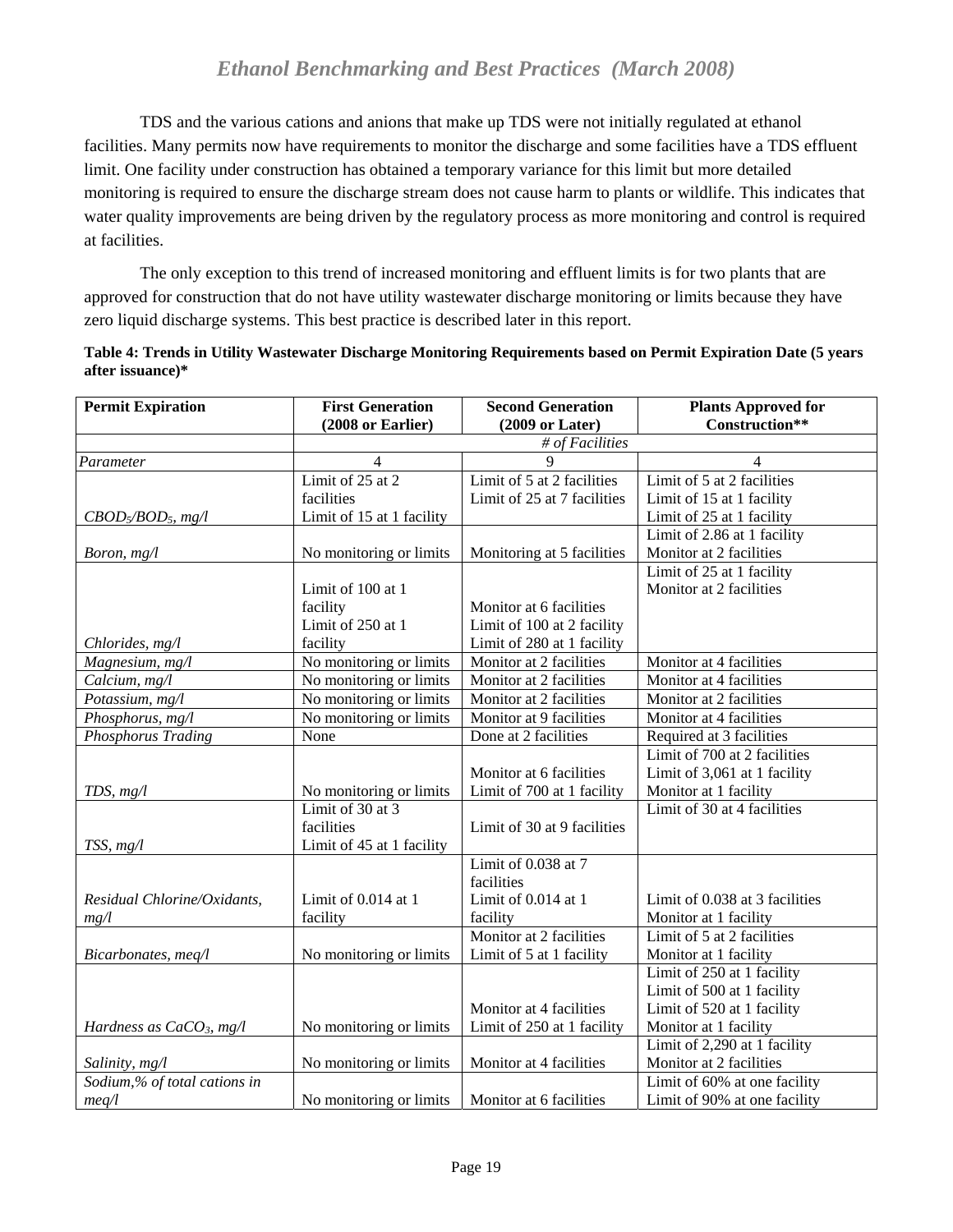<span id="page-18-0"></span> TDS and the various cations and anions that make up TDS were not initially regulated at ethanol facilities. Many permits now have requirements to monitor the discharge and some facilities have a TDS effluent limit. One facility under construction has obtained a temporary variance for this limit but more detailed monitoring is required to ensure the discharge stream does not cause harm to plants or wildlife. This indicates that water quality improvements are being driven by the regulatory process as more monitoring and control is required at facilities.

 The only exception to this trend of increased monitoring and effluent limits is for two plants that are approved for construction that do not have utility wastewater discharge monitoring or limits because they have zero liquid discharge systems. This best practice is described later in this report.

|                  |  | Table 4: Trends in Utility Wastewater Discharge Monitoring Requirements based on Permit Expiration Date (5 years |  |
|------------------|--|------------------------------------------------------------------------------------------------------------------|--|
| after issuance)* |  |                                                                                                                  |  |

| <b>Permit Expiration</b>       | <b>First Generation</b><br><b>Second Generation</b> |                             | <b>Plants Approved for</b>     |
|--------------------------------|-----------------------------------------------------|-----------------------------|--------------------------------|
|                                | (2008 or Earlier)                                   | $(2009 \text{ or Later})$   | Construction**                 |
|                                |                                                     | # of Facilities             |                                |
| Parameter                      | $\overline{4}$                                      | 9                           | $\overline{4}$                 |
|                                | Limit of $25$ at $2$                                | Limit of 5 at 2 facilities  | Limit of 5 at 2 facilities     |
|                                | facilities                                          | Limit of 25 at 7 facilities | Limit of 15 at 1 facility      |
| $CBOD5/BOD5, mg/l$             | Limit of 15 at 1 facility                           |                             | Limit of 25 at 1 facility      |
|                                |                                                     |                             | Limit of 2.86 at 1 facility    |
| Boron, mg/l                    | No monitoring or limits                             | Monitoring at 5 facilities  | Monitor at 2 facilities        |
|                                |                                                     |                             | Limit of 25 at 1 facility      |
|                                | Limit of 100 at 1                                   |                             | Monitor at 2 facilities        |
|                                | facility                                            | Monitor at 6 facilities     |                                |
|                                | Limit of 250 at 1                                   | Limit of 100 at 2 facility  |                                |
| Chlorides, mg/l                | facility                                            | Limit of 280 at 1 facility  |                                |
| Magnesium, mg/l                | No monitoring or limits                             | Monitor at 2 facilities     | Monitor at 4 facilities        |
| Calcium, mg/l                  | No monitoring or limits                             | Monitor at 2 facilities     | Monitor at 4 facilities        |
| Potassium, mg/l                | No monitoring or limits                             | Monitor at 2 facilities     | Monitor at 2 facilities        |
| $\overline{Ph}$ osphorus, mg/l | No monitoring or limits                             | Monitor at 9 facilities     | Monitor at 4 facilities        |
| Phosphorus Trading             | None                                                | Done at 2 facilities        | Required at 3 facilities       |
|                                |                                                     |                             | Limit of 700 at 2 facilities   |
|                                |                                                     | Monitor at 6 facilities     | Limit of 3,061 at 1 facility   |
| TDS, $mg/l$                    | No monitoring or limits                             | Limit of 700 at 1 facility  | Monitor at 1 facility          |
|                                | Limit of 30 at 3                                    |                             | Limit of 30 at 4 facilities    |
|                                | facilities                                          | Limit of 30 at 9 facilities |                                |
| TSS, mg/l                      | Limit of 45 at 1 facility                           |                             |                                |
|                                |                                                     | Limit of 0.038 at 7         |                                |
|                                |                                                     | facilities                  |                                |
| Residual Chlorine/Oxidants,    | Limit of 0.014 at 1                                 | Limit of 0.014 at 1         | Limit of 0.038 at 3 facilities |
| mg/l                           | facility                                            | facility                    | Monitor at 1 facility          |
|                                |                                                     | Monitor at 2 facilities     | Limit of 5 at 2 facilities     |
| Bicarbonates, meq/l            | No monitoring or limits                             | Limit of 5 at 1 facility    | Monitor at 1 facility          |
|                                |                                                     |                             | Limit of 250 at 1 facility     |
|                                |                                                     |                             | Limit of 500 at 1 facility     |
|                                |                                                     | Monitor at 4 facilities     | Limit of 520 at 1 facility     |
| Hardness as $CaCO3$ , mg/l     | No monitoring or limits                             | Limit of 250 at 1 facility  | Monitor at 1 facility          |
|                                |                                                     |                             | Limit of 2,290 at 1 facility   |
| Salinity, mg/l                 | No monitoring or limits                             | Monitor at 4 facilities     | Monitor at 2 facilities        |
| Sodium,% of total cations in   |                                                     |                             | Limit of 60% at one facility   |
| meq/l                          | No monitoring or limits                             | Monitor at 6 facilities     | Limit of 90% at one facility   |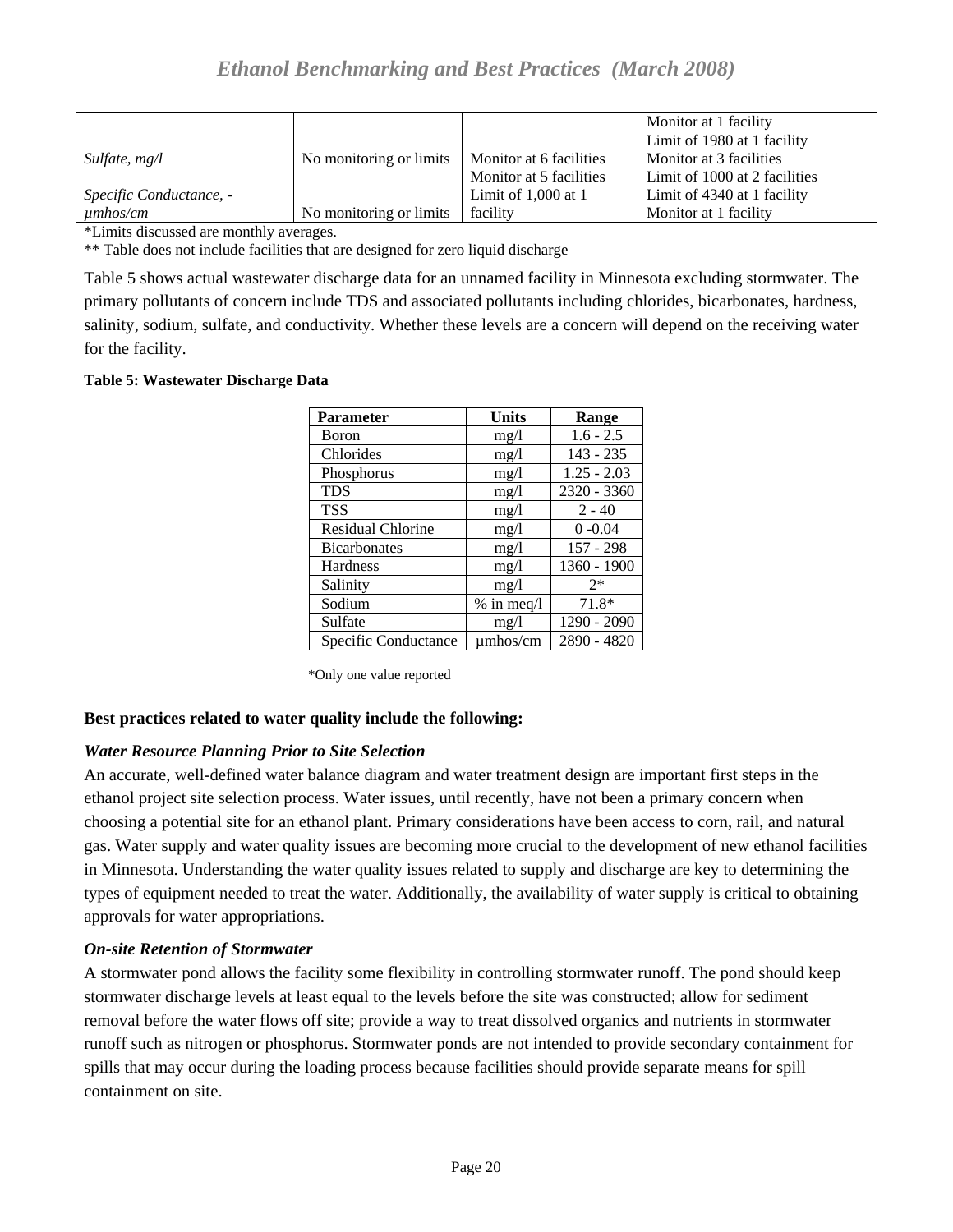<span id="page-19-0"></span>

|                         |                         |                         | Monitor at 1 facility         |
|-------------------------|-------------------------|-------------------------|-------------------------------|
|                         |                         |                         | Limit of 1980 at 1 facility   |
| Sulfate, $mg/l$         | No monitoring or limits | Monitor at 6 facilities | Monitor at 3 facilities       |
|                         |                         | Monitor at 5 facilities | Limit of 1000 at 2 facilities |
| Specific Conductance, - |                         | Limit of $1,000$ at 1   | Limit of 4340 at 1 facility   |
| $\mu$ mhos/cm           | No monitoring or limits | facility                | Monitor at 1 facility         |

\*Limits discussed are monthly averages.

\*\* Table does not include facilities that are designed for zero liquid discharge

Table 5 shows actual wastewater discharge data for an unnamed facility in Minnesota excluding stormwater. The primary pollutants of concern include TDS and associated pollutants including chlorides, bicarbonates, hardness, salinity, sodium, sulfate, and conductivity. Whether these levels are a concern will depend on the receiving water for the facility.

#### **Table 5: Wastewater Discharge Data**

| <b>Parameter</b>     | <b>Units</b>  | Range         |
|----------------------|---------------|---------------|
| Boron                | mg/l          | $1.6 - 2.5$   |
| Chlorides            | mg/l          | $143 - 235$   |
| Phosphorus           | mg/l          | $1.25 - 2.03$ |
| <b>TDS</b>           | mg/l          | 2320 - 3360   |
| <b>TSS</b>           | mg/l          | $2 - 40$      |
| Residual Chlorine    | mg/l          | $0 - 0.04$    |
| <b>Bicarbonates</b>  | mg/1          | $157 - 298$   |
| <b>Hardness</b>      | mg/l          | 1360 - 1900   |
| Salinity             | mg/l          | $2*$          |
| Sodium               | $%$ in meq/l  | $71.8*$       |
| Sulfate              | mg/l          | 1290 - 2090   |
| Specific Conductance | $\mu$ mhos/cm | 2890 - 4820   |

\*Only one value reported

## **Best practices related to water quality include the following:**

#### *Water Resource Planning Prior to Site Selection*

An accurate, well-defined water balance diagram and water treatment design are important first steps in the ethanol project site selection process. Water issues, until recently, have not been a primary concern when choosing a potential site for an ethanol plant. Primary considerations have been access to corn, rail, and natural gas. Water supply and water quality issues are becoming more crucial to the development of new ethanol facilities in Minnesota. Understanding the water quality issues related to supply and discharge are key to determining the types of equipment needed to treat the water. Additionally, the availability of water supply is critical to obtaining approvals for water appropriations.

#### *On-site Retention of Stormwater*

A stormwater pond allows the facility some flexibility in controlling stormwater runoff. The pond should keep stormwater discharge levels at least equal to the levels before the site was constructed; allow for sediment removal before the water flows off site; provide a way to treat dissolved organics and nutrients in stormwater runoff such as nitrogen or phosphorus. Stormwater ponds are not intended to provide secondary containment for spills that may occur during the loading process because facilities should provide separate means for spill containment on site.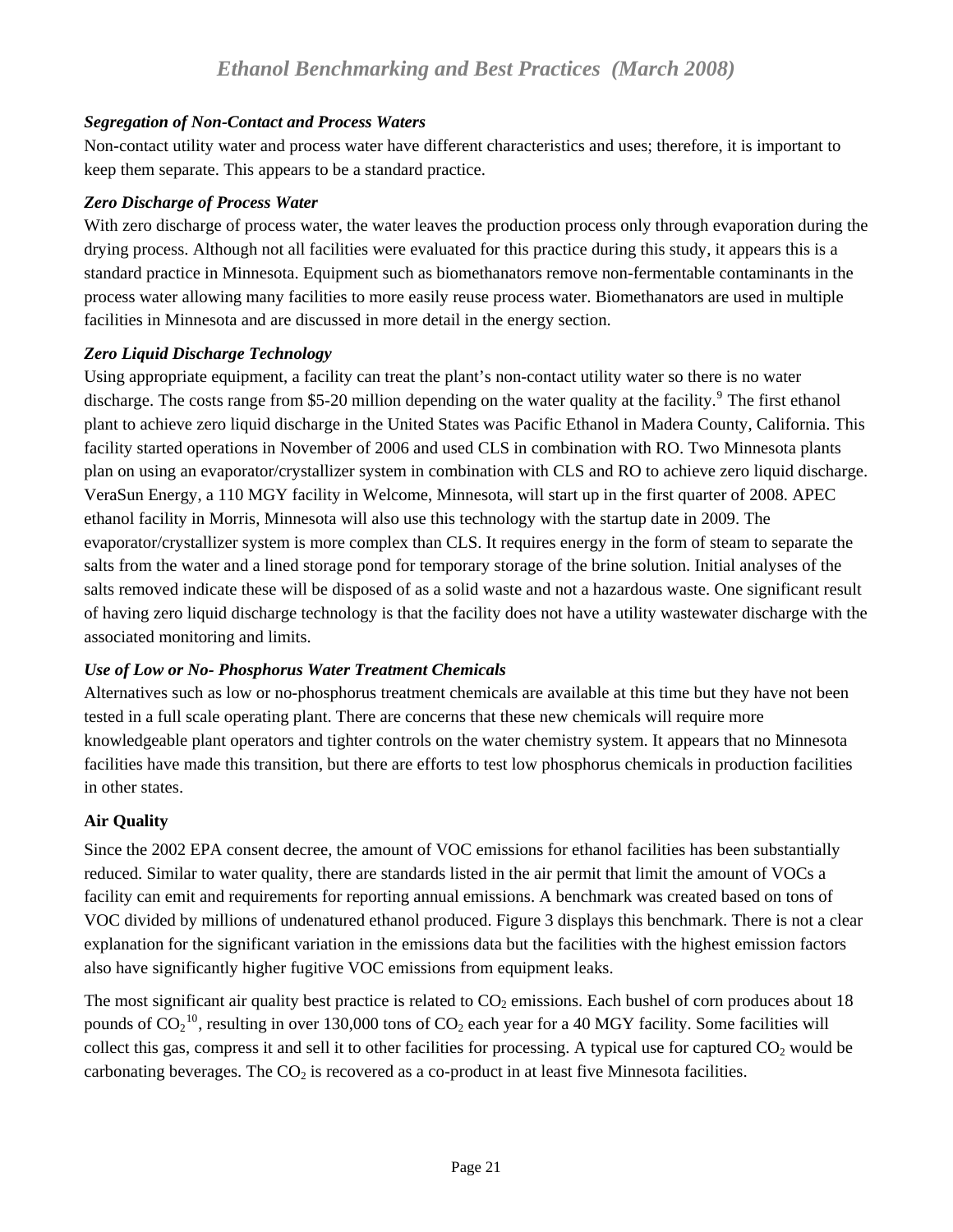#### <span id="page-20-0"></span>*Segregation of Non-Contact and Process Waters*

Non-contact utility water and process water have different characteristics and uses; therefore, it is important to keep them separate. This appears to be a standard practice.

#### *Zero Discharge of Process Water*

With zero discharge of process water, the water leaves the production process only through evaporation during the drying process. Although not all facilities were evaluated for this practice during this study, it appears this is a standard practice in Minnesota. Equipment such as biomethanators remove non-fermentable contaminants in the process water allowing many facilities to more easily reuse process water. Biomethanators are used in multiple facilities in Minnesota and are discussed in more detail in the energy section.

#### *Zero Liquid Discharge Technology*

Using appropriate equipment, a facility can treat the plant's non-contact utility water so there is no water discharge. The costs range from \$5-20 million depending on the water quality at the facility.<sup>[9](#page-33-3)</sup> The first ethanol plant to achieve zero liquid discharge in the United States was Pacific Ethanol in Madera County, California. This facility started operations in November of 2006 and used CLS in combination with RO. Two Minnesota plants plan on using an evaporator/crystallizer system in combination with CLS and RO to achieve zero liquid discharge. VeraSun Energy, a 110 MGY facility in Welcome, Minnesota, will start up in the first quarter of 2008. APEC ethanol facility in Morris, Minnesota will also use this technology with the startup date in 2009. The evaporator/crystallizer system is more complex than CLS. It requires energy in the form of steam to separate the salts from the water and a lined storage pond for temporary storage of the brine solution. Initial analyses of the salts removed indicate these will be disposed of as a solid waste and not a hazardous waste. One significant result of having zero liquid discharge technology is that the facility does not have a utility wastewater discharge with the associated monitoring and limits.

## *Use of Low or No- Phosphorus Water Treatment Chemicals*

Alternatives such as low or no-phosphorus treatment chemicals are available at this time but they have not been tested in a full scale operating plant. There are concerns that these new chemicals will require more knowledgeable plant operators and tighter controls on the water chemistry system. It appears that no Minnesota facilities have made this transition, but there are efforts to test low phosphorus chemicals in production facilities in other states.

## **Air Quality**

Since the 2002 EPA consent decree, the amount of VOC emissions for ethanol facilities has been substantially reduced. Similar to water quality, there are standards listed in the air permit that limit the amount of VOCs a facility can emit and requirements for reporting annual emissions. A benchmark was created based on tons of VOC divided by millions of undenatured ethanol produced. Figure 3 displays this benchmark. There is not a clear explanation for the significant variation in the emissions data but the facilities with the highest emission factors also have significantly higher fugitive VOC emissions from equipment leaks.

The most significant air quality best practice is related to  $CO<sub>2</sub>$  emissions. Each bushel of corn produces about 18 pounds of CO<sub>2</sub><sup>[10](#page-33-3)</sup>, resulting in over 130,000 tons of CO<sub>2</sub> each year for a 40 MGY facility. Some facilities will collect this gas, compress it and sell it to other facilities for processing. A typical use for captured  $CO<sub>2</sub>$  would be carbonating beverages. The  $CO<sub>2</sub>$  is recovered as a co-product in at least five Minnesota facilities.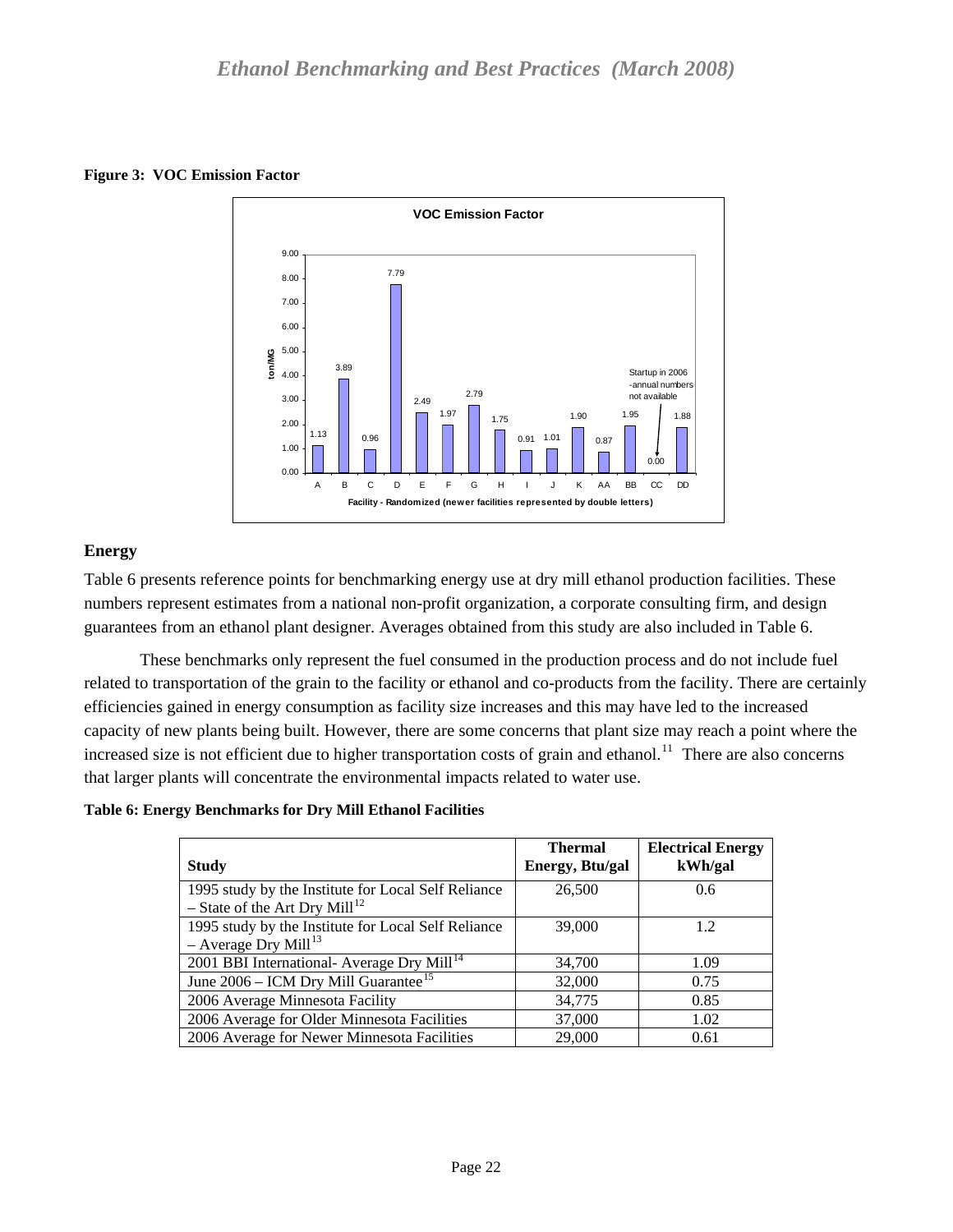<span id="page-21-0"></span>



## **Energy**

Table 6 presents reference points for benchmarking energy use at dry mill ethanol production facilities. These numbers represent estimates from a national non-profit organization, a corporate consulting firm, and design guarantees from an ethanol plant designer. Averages obtained from this study are also included in Table 6.

 These benchmarks only represent the fuel consumed in the production process and do not include fuel related to transportation of the grain to the facility or ethanol and co-products from the facility. There are certainly efficiencies gained in energy consumption as facility size increases and this may have led to the increased capacity of new plants being built. However, there are some concerns that plant size may reach a point where the increased size is not efficient due to higher transportation costs of grain and ethanol.<sup>[11](#page-33-3)</sup> There are also concerns that larger plants will concentrate the environmental impacts related to water use.

**Table 6: Energy Benchmarks for Dry Mill Ethanol Facilities** 

| <b>Study</b>                                                                                     | <b>Thermal</b><br>Energy, Btu/gal | <b>Electrical Energy</b><br>kWh/gal |
|--------------------------------------------------------------------------------------------------|-----------------------------------|-------------------------------------|
| 1995 study by the Institute for Local Self Reliance<br>- State of the Art Dry Mill <sup>12</sup> | 26,500                            | 0.6                                 |
| 1995 study by the Institute for Local Self Reliance<br>$-$ Average Dry Mill <sup>13</sup>        | 39,000                            | 12                                  |
| 2001 BBI International- Average Dry Mill <sup>14</sup>                                           | 34,700                            | 1.09                                |
| June $2006$ – ICM Dry Mill Guarantee <sup>15</sup>                                               | 32,000                            | 0.75                                |
| 2006 Average Minnesota Facility                                                                  | 34,775                            | 0.85                                |
| 2006 Average for Older Minnesota Facilities                                                      | 37,000                            | 1.02                                |
| 2006 Average for Newer Minnesota Facilities                                                      | 29,000                            | 0.61                                |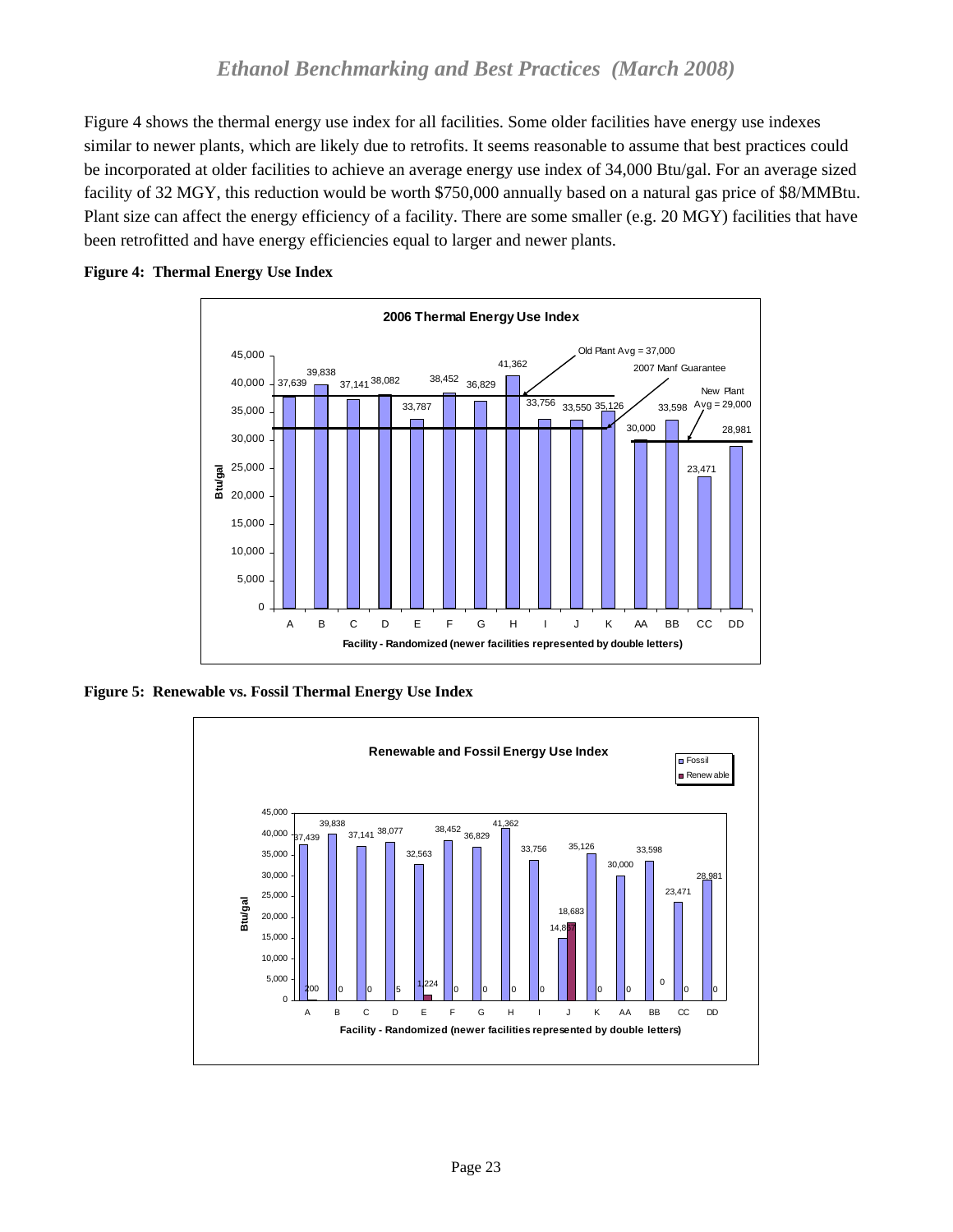<span id="page-22-0"></span>Figure 4 shows the thermal energy use index for all facilities. Some older facilities have energy use indexes similar to newer plants, which are likely due to retrofits. It seems reasonable to assume that best practices could be incorporated at older facilities to achieve an average energy use index of 34,000 Btu/gal. For an average sized facility of 32 MGY, this reduction would be worth \$750,000 annually based on a natural gas price of \$8/MMBtu. Plant size can affect the energy efficiency of a facility. There are some smaller (e.g. 20 MGY) facilities that have been retrofitted and have energy efficiencies equal to larger and newer plants.



#### **Figure 4: Thermal Energy Use Index**

**Figure 5: Renewable vs. Fossil Thermal Energy Use Index**

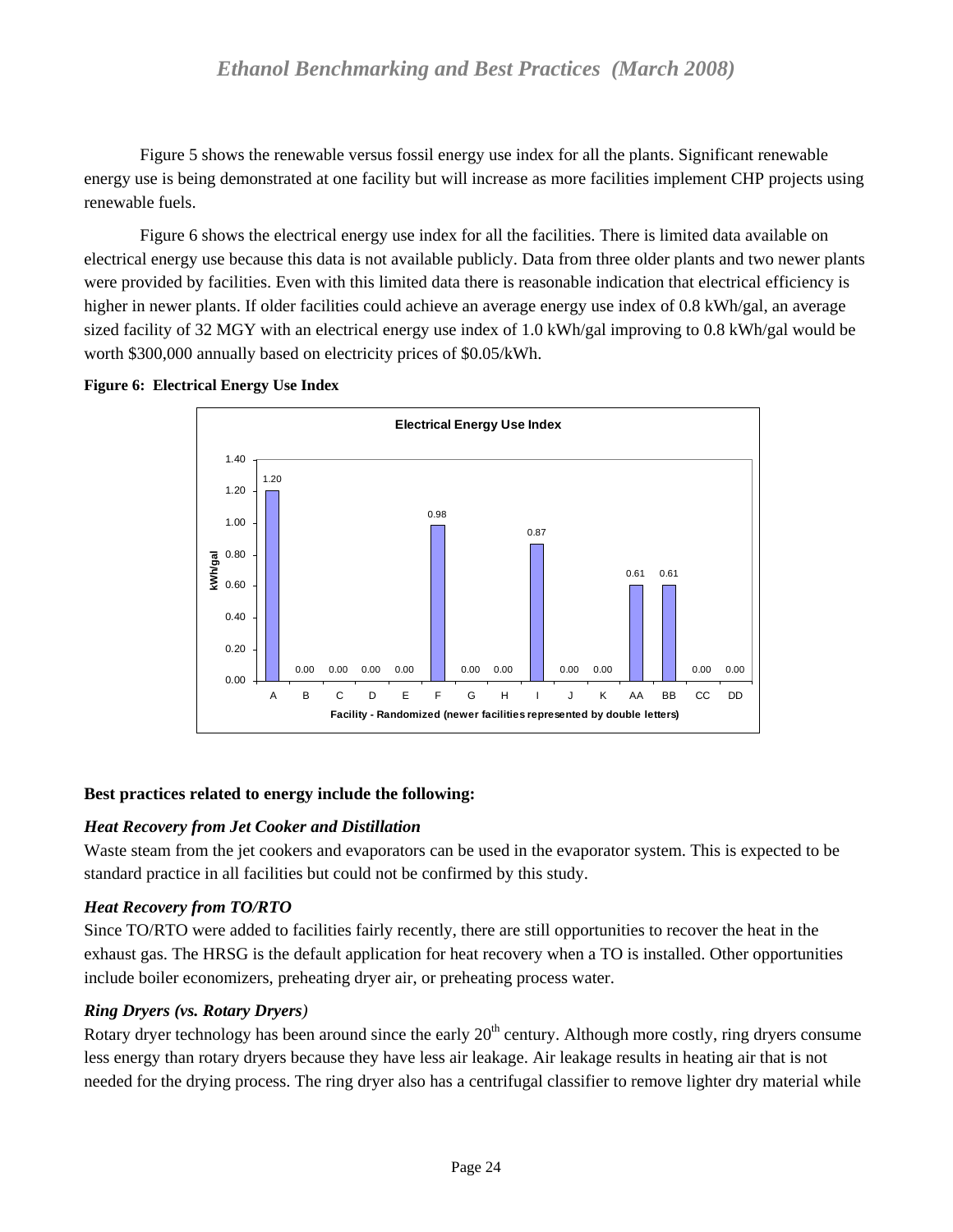<span id="page-23-0"></span> Figure 5 shows the renewable versus fossil energy use index for all the plants. Significant renewable energy use is being demonstrated at one facility but will increase as more facilities implement CHP projects using renewable fuels.

 Figure 6 shows the electrical energy use index for all the facilities. There is limited data available on electrical energy use because this data is not available publicly. Data from three older plants and two newer plants were provided by facilities. Even with this limited data there is reasonable indication that electrical efficiency is higher in newer plants. If older facilities could achieve an average energy use index of 0.8 kWh/gal, an average sized facility of 32 MGY with an electrical energy use index of 1.0 kWh/gal improving to 0.8 kWh/gal would be worth \$300,000 annually based on electricity prices of \$0.05/kWh.



**Figure 6: Electrical Energy Use Index** 

## **Best practices related to energy include the following:**

## *Heat Recovery from Jet Cooker and Distillation*

Waste steam from the jet cookers and evaporators can be used in the evaporator system. This is expected to be standard practice in all facilities but could not be confirmed by this study.

## *Heat Recovery from TO/RTO*

Since TO/RTO were added to facilities fairly recently, there are still opportunities to recover the heat in the exhaust gas. The HRSG is the default application for heat recovery when a TO is installed. Other opportunities include boiler economizers, preheating dryer air, or preheating process water.

## *Ring Dryers (vs. Rotary Dryers)*

Rotary dryer technology has been around since the early  $20<sup>th</sup>$  century. Although more costly, ring dryers consume less energy than rotary dryers because they have less air leakage. Air leakage results in heating air that is not needed for the drying process. The ring dryer also has a centrifugal classifier to remove lighter dry material while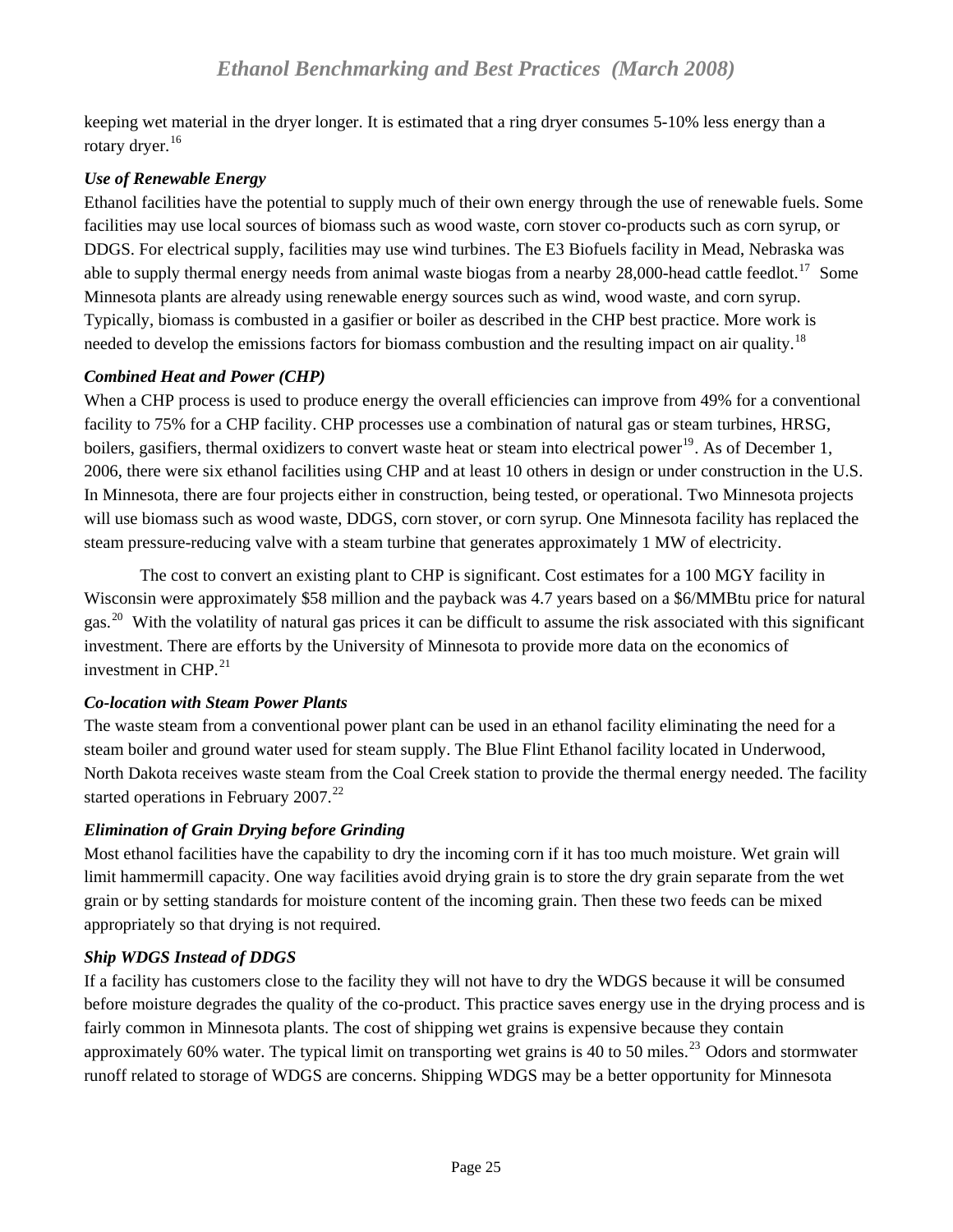<span id="page-24-0"></span>keeping wet material in the dryer longer. It is estimated that a ring dryer consumes 5-10% less energy than a rotary dryer.<sup>[16](#page-33-3)</sup>

## *Use of Renewable Energy*

Ethanol facilities have the potential to supply much of their own energy through the use of renewable fuels. Some facilities may use local sources of biomass such as wood waste, corn stover co-products such as corn syrup, or DDGS. For electrical supply, facilities may use wind turbines. The E3 Biofuels facility in Mead, Nebraska was able to supply thermal energy needs from animal waste biogas from a nearby 28,000-head cattle feedlot.<sup>[17](#page-33-3)</sup> Some Minnesota plants are already using renewable energy sources such as wind, wood waste, and corn syrup. Typically, biomass is combusted in a gasifier or boiler as described in the CHP best practice. More work is needed to develop the emissions factors for biomass combustion and the resulting impact on air quality.<sup>[18](#page-33-3)</sup>

## *Combined Heat and Power (CHP)*

When a CHP process is used to produce energy the overall efficiencies can improve from 49% for a conventional facility to 75% for a CHP facility. CHP processes use a combination of natural gas or steam turbines, HRSG, boilers, gasifiers, thermal oxidizers to convert waste heat or steam into electrical power<sup>[19](#page-33-3)</sup>. As of December 1, 2006, there were six ethanol facilities using CHP and at least 10 others in design or under construction in the U.S. In Minnesota, there are four projects either in construction, being tested, or operational. Two Minnesota projects will use biomass such as wood waste, DDGS, corn stover, or corn syrup. One Minnesota facility has replaced the steam pressure-reducing valve with a steam turbine that generates approximately 1 MW of electricity.

 The cost to convert an existing plant to CHP is significant. Cost estimates for a 100 MGY facility in Wisconsin were approximately \$58 million and the payback was 4.7 years based on a \$6/MMBtu price for natural gas.<sup>[20](#page-33-3)</sup> With the volatility of natural gas prices it can be difficult to assume the risk associated with this significant investment. There are efforts by the University of Minnesota to provide more data on the economics of investment in CHP. $^{21}$  $^{21}$  $^{21}$ 

## *Co-location with Steam Power Plants*

The waste steam from a conventional power plant can be used in an ethanol facility eliminating the need for a steam boiler and ground water used for steam supply. The Blue Flint Ethanol facility located in Underwood, North Dakota receives waste steam from the Coal Creek station to provide the thermal energy needed. The facility started operations in February  $2007.<sup>22</sup>$  $2007.<sup>22</sup>$  $2007.<sup>22</sup>$ 

# *Elimination of Grain Drying before Grinding*

Most ethanol facilities have the capability to dry the incoming corn if it has too much moisture. Wet grain will limit hammermill capacity. One way facilities avoid drying grain is to store the dry grain separate from the wet grain or by setting standards for moisture content of the incoming grain. Then these two feeds can be mixed appropriately so that drying is not required.

# *Ship WDGS Instead of DDGS*

If a facility has customers close to the facility they will not have to dry the WDGS because it will be consumed before moisture degrades the quality of the co-product. This practice saves energy use in the drying process and is fairly common in Minnesota plants. The cost of shipping wet grains is expensive because they contain approximately 60% water. The typical limit on transporting wet grains is 40 to 50 miles.<sup>[23](#page-33-3)</sup> Odors and stormwater runoff related to storage of WDGS are concerns. Shipping WDGS may be a better opportunity for Minnesota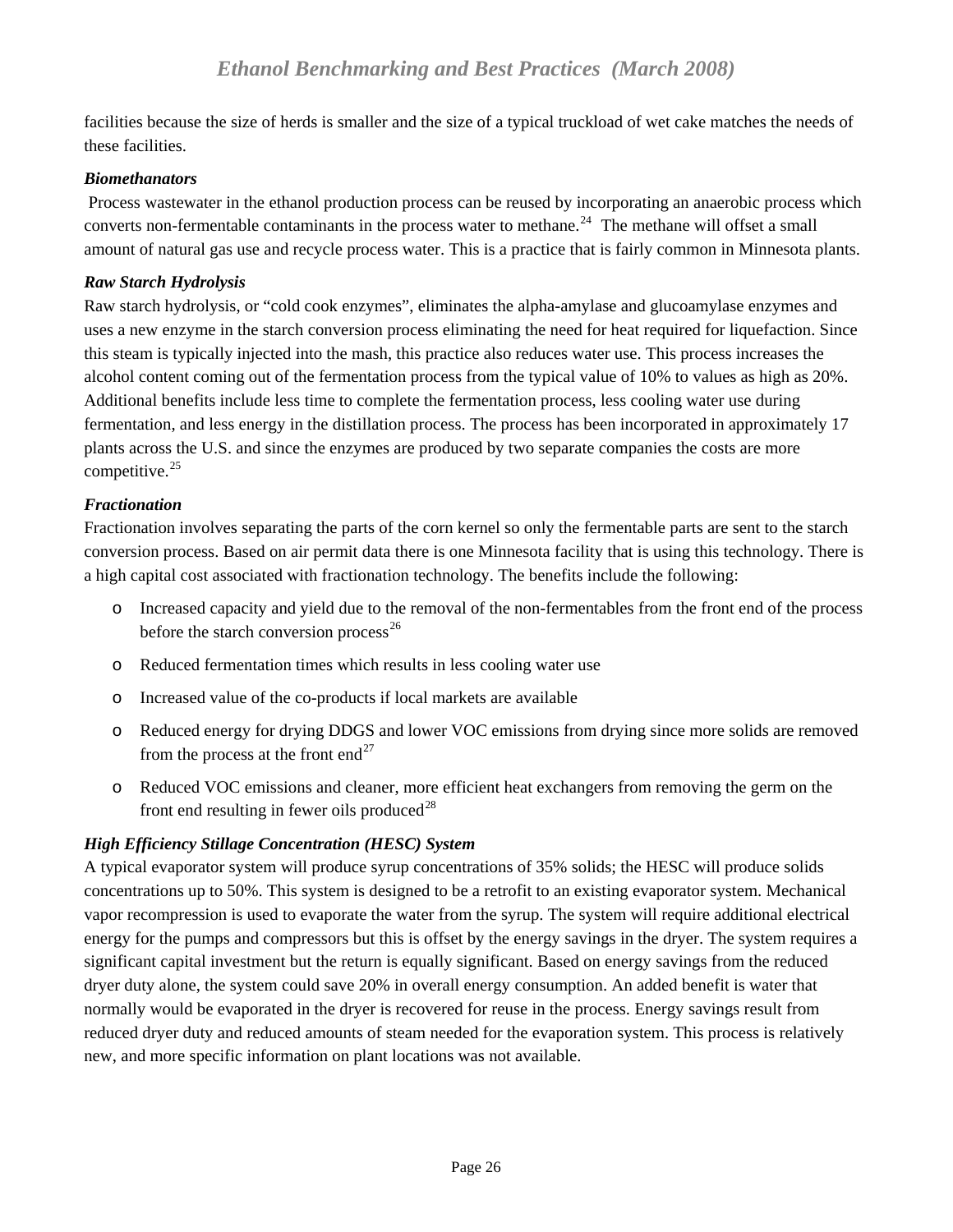<span id="page-25-0"></span>facilities because the size of herds is smaller and the size of a typical truckload of wet cake matches the needs of these facilities.

#### *Biomethanators*

 Process wastewater in the ethanol production process can be reused by incorporating an anaerobic process which converts non-fermentable contaminants in the process water to methane.<sup>[24](#page-33-3)</sup> The methane will offset a small amount of natural gas use and recycle process water. This is a practice that is fairly common in Minnesota plants.

#### *Raw Starch Hydrolysis*

Raw starch hydrolysis, or "cold cook enzymes", eliminates the alpha-amylase and glucoamylase enzymes and uses a new enzyme in the starch conversion process eliminating the need for heat required for liquefaction. Since this steam is typically injected into the mash, this practice also reduces water use. This process increases the alcohol content coming out of the fermentation process from the typical value of 10% to values as high as 20%. Additional benefits include less time to complete the fermentation process, less cooling water use during fermentation, and less energy in the distillation process. The process has been incorporated in approximately 17 plants across the U.S. and since the enzymes are produced by two separate companies the costs are more competitive. $25$ 

## *Fractionation*

Fractionation involves separating the parts of the corn kernel so only the fermentable parts are sent to the starch conversion process. Based on air permit data there is one Minnesota facility that is using this technology. There is a high capital cost associated with fractionation technology. The benefits include the following:

- o Increased capacity and yield due to the removal of the non-fermentables from the front end of the process before the starch conversion process<sup>[26](#page-33-3)</sup>
- o Reduced fermentation times which results in less cooling water use
- o Increased value of the co-products if local markets are available
- o Reduced energy for drying DDGS and lower VOC emissions from drying since more solids are removed from the process at the front end<sup>[27](#page-33-3)</sup>
- o Reduced VOC emissions and cleaner, more efficient heat exchangers from removing the germ on the front end resulting in fewer oils produced $^{28}$  $^{28}$  $^{28}$

## *High Efficiency Stillage Concentration (HESC) System*

A typical evaporator system will produce syrup concentrations of 35% solids; the HESC will produce solids concentrations up to 50%. This system is designed to be a retrofit to an existing evaporator system. Mechanical vapor recompression is used to evaporate the water from the syrup. The system will require additional electrical energy for the pumps and compressors but this is offset by the energy savings in the dryer. The system requires a significant capital investment but the return is equally significant. Based on energy savings from the reduced dryer duty alone, the system could save 20% in overall energy consumption. An added benefit is water that normally would be evaporated in the dryer is recovered for reuse in the process. Energy savings result from reduced dryer duty and reduced amounts of steam needed for the evaporation system. This process is relatively new, and more specific information on plant locations was not available.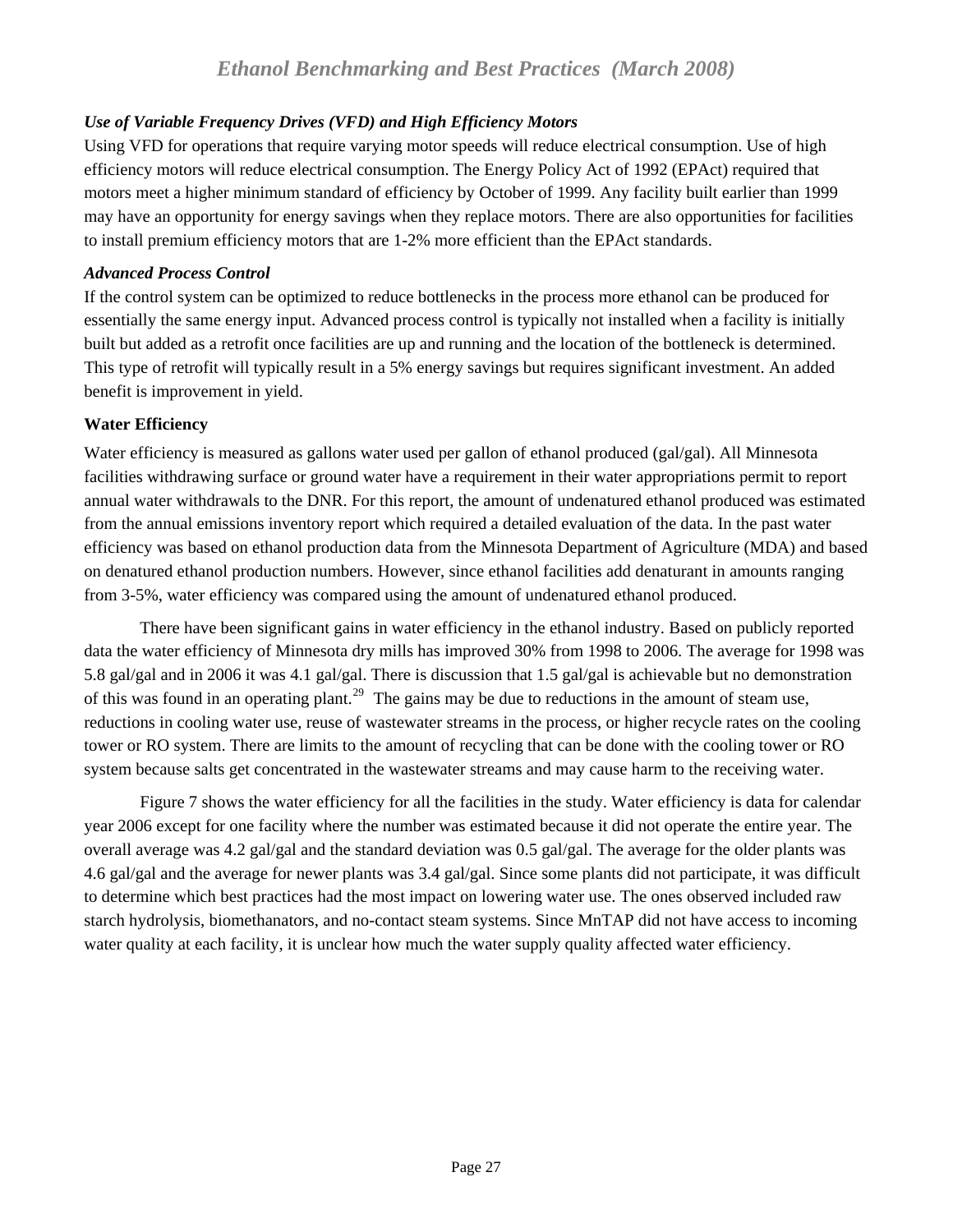## <span id="page-26-0"></span>*Use of Variable Frequency Drives (VFD) and High Efficiency Motors*

Using VFD for operations that require varying motor speeds will reduce electrical consumption. Use of high efficiency motors will reduce electrical consumption. The Energy Policy Act of 1992 (EPAct) required that motors meet a higher minimum standard of efficiency by October of 1999. Any facility built earlier than 1999 may have an opportunity for energy savings when they replace motors. There are also opportunities for facilities to install premium efficiency motors that are 1-2% more efficient than the EPAct standards.

#### *Advanced Process Control*

If the control system can be optimized to reduce bottlenecks in the process more ethanol can be produced for essentially the same energy input. Advanced process control is typically not installed when a facility is initially built but added as a retrofit once facilities are up and running and the location of the bottleneck is determined. This type of retrofit will typically result in a 5% energy savings but requires significant investment. An added benefit is improvement in yield.

## **Water Efficiency**

Water efficiency is measured as gallons water used per gallon of ethanol produced (gal/gal). All Minnesota facilities withdrawing surface or ground water have a requirement in their water appropriations permit to report annual water withdrawals to the DNR. For this report, the amount of undenatured ethanol produced was estimated from the annual emissions inventory report which required a detailed evaluation of the data. In the past water efficiency was based on ethanol production data from the Minnesota Department of Agriculture (MDA) and based on denatured ethanol production numbers. However, since ethanol facilities add denaturant in amounts ranging from 3-5%, water efficiency was compared using the amount of undenatured ethanol produced.

 There have been significant gains in water efficiency in the ethanol industry. Based on publicly reported data the water efficiency of Minnesota dry mills has improved 30% from 1998 to 2006. The average for 1998 was 5.8 gal/gal and in 2006 it was 4.1 gal/gal. There is discussion that 1.5 gal/gal is achievable but no demonstration of this was found in an operating plant.<sup>[29](#page-33-3)</sup> The gains may be due to reductions in the amount of steam use, reductions in cooling water use, reuse of wastewater streams in the process, or higher recycle rates on the cooling tower or RO system. There are limits to the amount of recycling that can be done with the cooling tower or RO system because salts get concentrated in the wastewater streams and may cause harm to the receiving water.

 Figure 7 shows the water efficiency for all the facilities in the study. Water efficiency is data for calendar year 2006 except for one facility where the number was estimated because it did not operate the entire year. The overall average was 4.2 gal/gal and the standard deviation was 0.5 gal/gal. The average for the older plants was 4.6 gal/gal and the average for newer plants was 3.4 gal/gal. Since some plants did not participate, it was difficult to determine which best practices had the most impact on lowering water use. The ones observed included raw starch hydrolysis, biomethanators, and no-contact steam systems. Since MnTAP did not have access to incoming water quality at each facility, it is unclear how much the water supply quality affected water efficiency.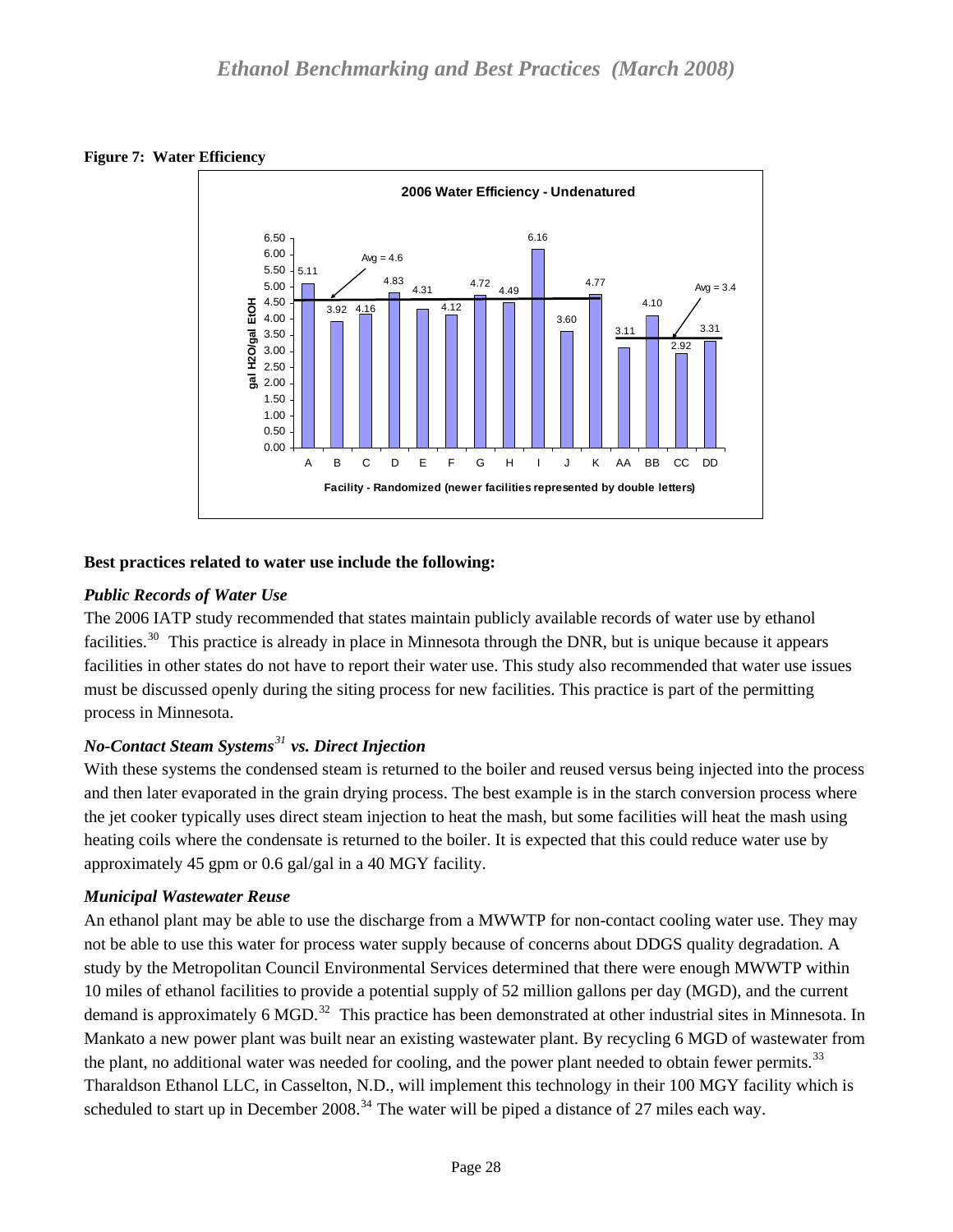<span id="page-27-0"></span>



## **Best practices related to water use include the following:**

# *Public Records of Water Use*

The 2006 IATP study recommended that states maintain publicly available records of water use by ethanol facilities.<sup>[30](#page-33-3)</sup> This practice is already in place in Minnesota through the DNR, but is unique because it appears facilities in other states do not have to report their water use. This study also recommended that water use issues must be discussed openly during the siting process for new facilities. This practice is part of the permitting process in Minnesota.

# *No-Contact Steam Systems[31](#page-33-3) vs. Direct Injection*

With these systems the condensed steam is returned to the boiler and reused versus being injected into the process and then later evaporated in the grain drying process. The best example is in the starch conversion process where the jet cooker typically uses direct steam injection to heat the mash, but some facilities will heat the mash using heating coils where the condensate is returned to the boiler. It is expected that this could reduce water use by approximately 45 gpm or 0.6 gal/gal in a 40 MGY facility.

# *Municipal Wastewater Reuse*

An ethanol plant may be able to use the discharge from a MWWTP for non-contact cooling water use. They may not be able to use this water for process water supply because of concerns about DDGS quality degradation. A study by the Metropolitan Council Environmental Services determined that there were enough MWWTP within 10 miles of ethanol facilities to provide a potential supply of 52 million gallons per day (MGD), and the current demand is approximately 6 MGD.<sup>[32](#page-33-3)</sup> This practice has been demonstrated at other industrial sites in Minnesota. In Mankato a new power plant was built near an existing wastewater plant. By recycling 6 MGD of wastewater from the plant, no additional water was needed for cooling, and the power plant needed to obtain fewer permits.<sup>[33](#page-33-3)</sup> Tharaldson Ethanol LLC, in Casselton, N.D., will implement this technology in their 100 MGY facility which is scheduled to start up in December 2008.<sup>[34](#page-33-3)</sup> The water will be piped a distance of 27 miles each way.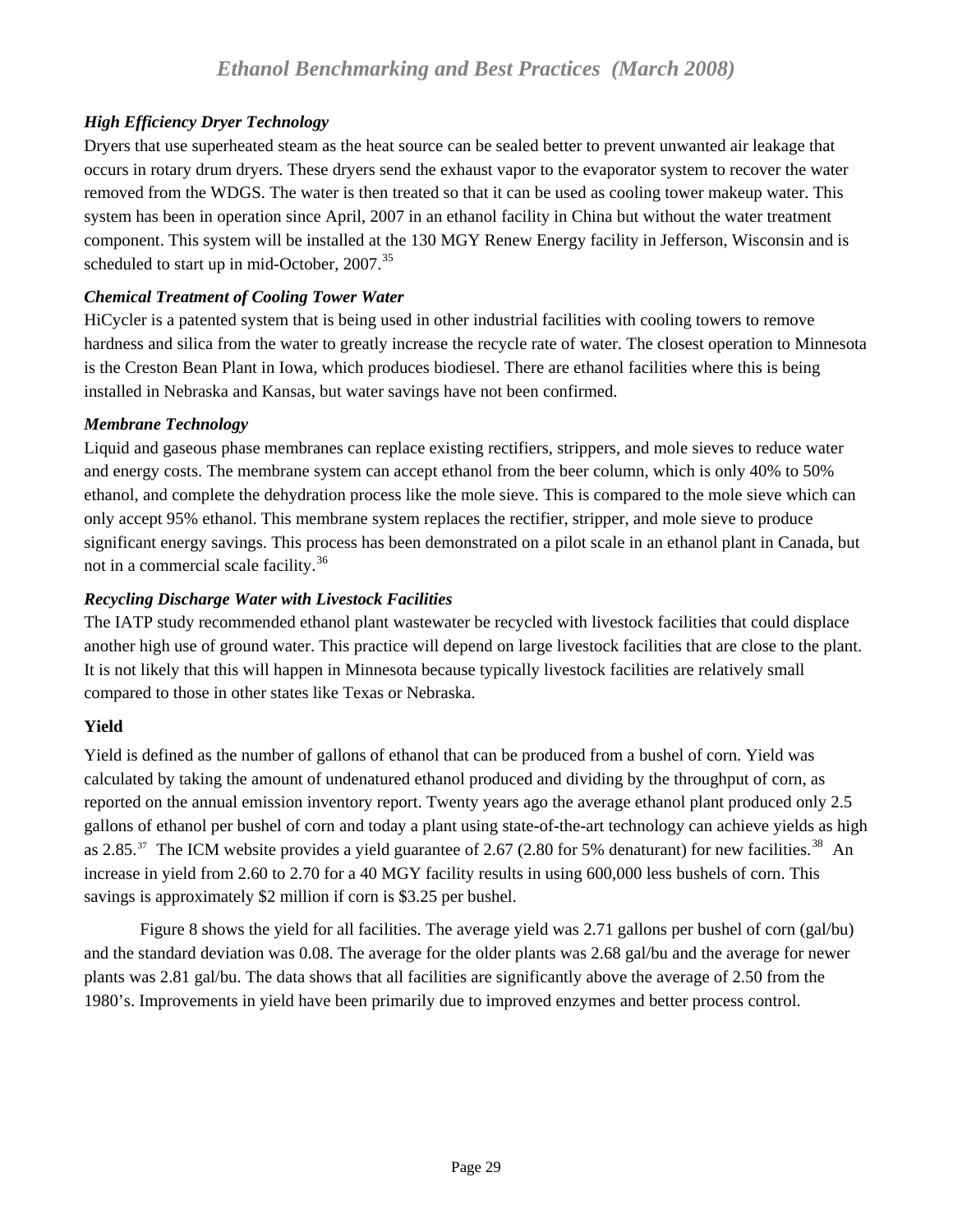# <span id="page-28-0"></span>*High Efficiency Dryer Technology*

Dryers that use superheated steam as the heat source can be sealed better to prevent unwanted air leakage that occurs in rotary drum dryers. These dryers send the exhaust vapor to the evaporator system to recover the water removed from the WDGS. The water is then treated so that it can be used as cooling tower makeup water. This system has been in operation since April, 2007 in an ethanol facility in China but without the water treatment component. This system will be installed at the 130 MGY Renew Energy facility in Jefferson, Wisconsin and is scheduled to start up in mid-October, 2007.<sup>[35](#page-33-3)</sup>

# *Chemical Treatment of Cooling Tower Water*

HiCycler is a patented system that is being used in other industrial facilities with cooling towers to remove hardness and silica from the water to greatly increase the recycle rate of water. The closest operation to Minnesota is the Creston Bean Plant in Iowa, which produces biodiesel. There are ethanol facilities where this is being installed in Nebraska and Kansas, but water savings have not been confirmed.

# *Membrane Technology*

Liquid and gaseous phase membranes can replace existing rectifiers, strippers, and mole sieves to reduce water and energy costs. The membrane system can accept ethanol from the beer column, which is only 40% to 50% ethanol, and complete the dehydration process like the mole sieve. This is compared to the mole sieve which can only accept 95% ethanol. This membrane system replaces the rectifier, stripper, and mole sieve to produce significant energy savings. This process has been demonstrated on a pilot scale in an ethanol plant in Canada, but not in a commercial scale facility.[36](#page-33-3)

# *Recycling Discharge Water with Livestock Facilities*

The IATP study recommended ethanol plant wastewater be recycled with livestock facilities that could displace another high use of ground water. This practice will depend on large livestock facilities that are close to the plant. It is not likely that this will happen in Minnesota because typically livestock facilities are relatively small compared to those in other states like Texas or Nebraska.

# **Yield**

Yield is defined as the number of gallons of ethanol that can be produced from a bushel of corn. Yield was calculated by taking the amount of undenatured ethanol produced and dividing by the throughput of corn, as reported on the annual emission inventory report. Twenty years ago the average ethanol plant produced only 2.5 gallons of ethanol per bushel of corn and today a plant using state-of-the-art technology can achieve yields as high as 2.85. $37$  The ICM website provides a yield guarantee of 2.67 (2.80 for 5% denaturant) for new facilities.<sup>[38](#page-33-3)</sup> An increase in yield from 2.60 to 2.70 for a 40 MGY facility results in using 600,000 less bushels of corn. This savings is approximately \$2 million if corn is \$3.25 per bushel.

 Figure 8 shows the yield for all facilities. The average yield was 2.71 gallons per bushel of corn (gal/bu) and the standard deviation was 0.08. The average for the older plants was 2.68 gal/bu and the average for newer plants was 2.81 gal/bu. The data shows that all facilities are significantly above the average of 2.50 from the 1980's. Improvements in yield have been primarily due to improved enzymes and better process control.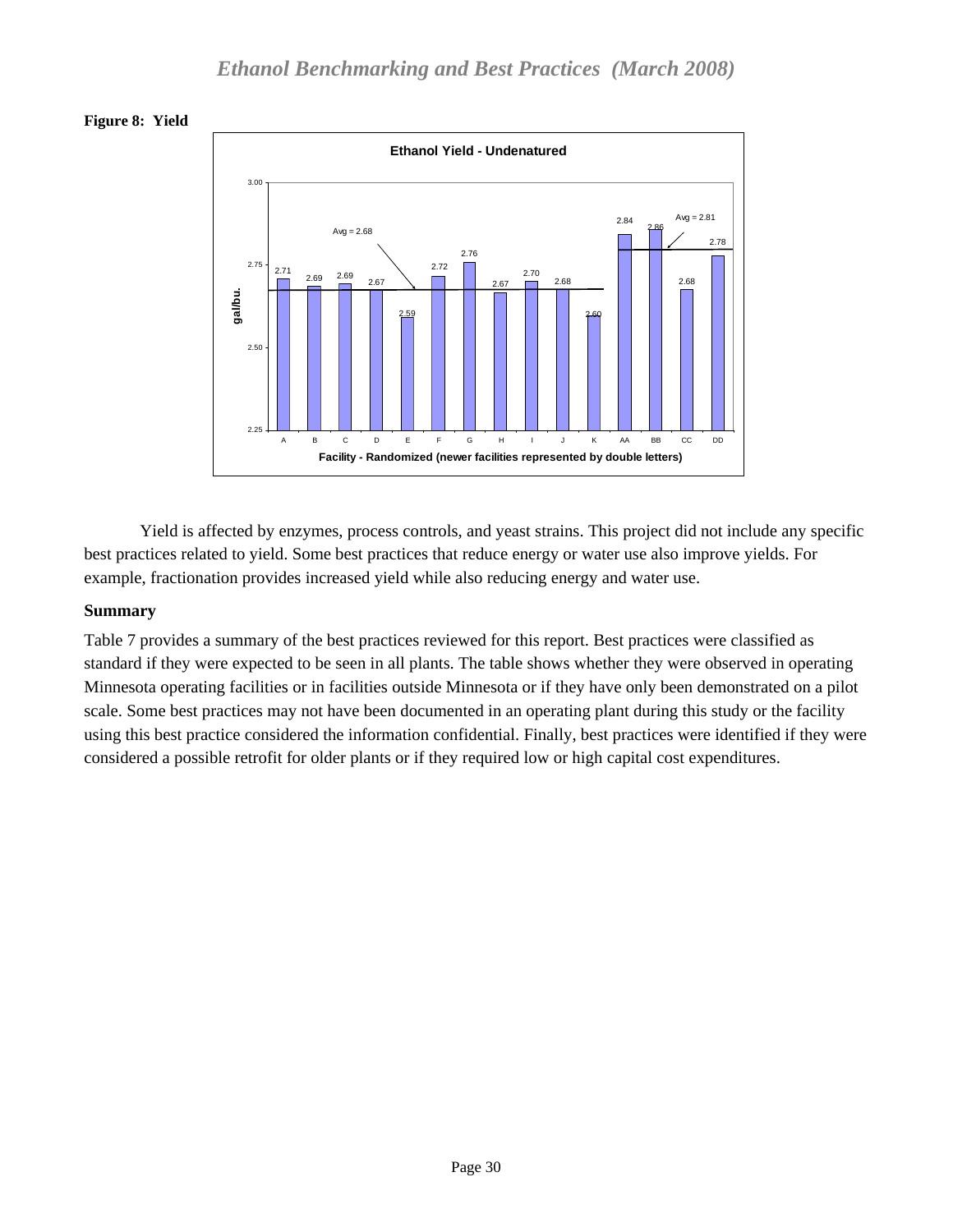<span id="page-29-0"></span>



 Yield is affected by enzymes, process controls, and yeast strains. This project did not include any specific best practices related to yield. Some best practices that reduce energy or water use also improve yields. For example, fractionation provides increased yield while also reducing energy and water use.

## **Summary**

Table 7 provides a summary of the best practices reviewed for this report. Best practices were classified as standard if they were expected to be seen in all plants. The table shows whether they were observed in operating Minnesota operating facilities or in facilities outside Minnesota or if they have only been demonstrated on a pilot scale. Some best practices may not have been documented in an operating plant during this study or the facility using this best practice considered the information confidential. Finally, best practices were identified if they were considered a possible retrofit for older plants or if they required low or high capital cost expenditures.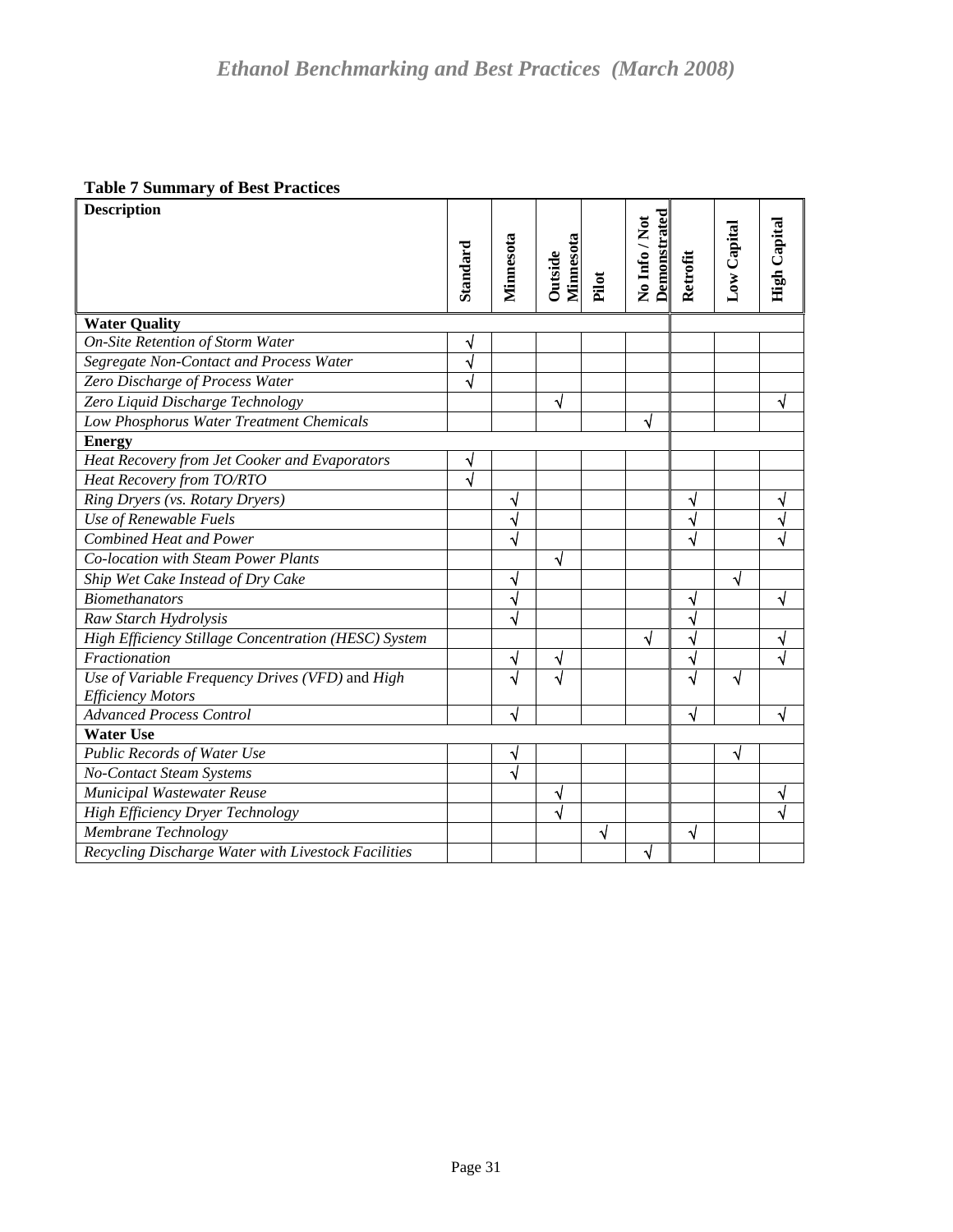#### <span id="page-30-0"></span>**Table 7 Summary of Best Practices**

| <b>OF POOL FRANCHING</b><br><b>Description</b>       |                       |           |                  |       |                                      |                       |             |                     |
|------------------------------------------------------|-----------------------|-----------|------------------|-------|--------------------------------------|-----------------------|-------------|---------------------|
|                                                      |                       |           |                  |       | <b>Demonstrated</b><br>No Info / Not |                       | Low Capital | <b>High Capital</b> |
|                                                      | Standard              | Minnesota | <b>Minnesota</b> |       |                                      | Retrofit              |             |                     |
|                                                      |                       |           | Outside          | Pilot |                                      |                       |             |                     |
|                                                      |                       |           |                  |       |                                      |                       |             |                     |
| <b>Water Quality</b>                                 |                       |           |                  |       |                                      |                       |             |                     |
| <b>On-Site Retention of Storm Water</b>              | N                     |           |                  |       |                                      |                       |             |                     |
| Segregate Non-Contact and Process Water              | $\sqrt{}$             |           |                  |       |                                      |                       |             |                     |
| Zero Discharge of Process Water                      | $\overline{\sqrt{}}$  |           |                  |       |                                      |                       |             |                     |
| Zero Liquid Discharge Technology                     |                       |           | V                |       |                                      |                       |             | ٦I                  |
| Low Phosphorus Water Treatment Chemicals             |                       |           |                  |       | √                                    |                       |             |                     |
| <b>Energy</b>                                        |                       |           |                  |       |                                      |                       |             |                     |
| Heat Recovery from Jet Cooker and Evaporators        | ٧                     |           |                  |       |                                      |                       |             |                     |
| Heat Recovery from TO/RTO                            | $\overline{\sqrt{2}}$ |           |                  |       |                                      |                       |             |                     |
| Ring Dryers (vs. Rotary Dryers)                      |                       | ٧         |                  |       |                                      | ٧                     |             | ٧                   |
| Use of Renewable Fuels                               |                       |           |                  |       |                                      | N                     |             | √                   |
| <b>Combined Heat and Power</b>                       |                       | √         |                  |       |                                      | √                     |             |                     |
| Co-location with Steam Power Plants                  |                       |           | √                |       |                                      |                       |             |                     |
| Ship Wet Cake Instead of Dry Cake                    |                       |           |                  |       |                                      |                       | √           |                     |
| <b>Biomethanators</b>                                |                       | ٧         |                  |       |                                      | ٧                     |             | ٦I                  |
| Raw Starch Hydrolysis                                |                       |           |                  |       |                                      | $\sqrt{}$             |             |                     |
| High Efficiency Stillage Concentration (HESC) System |                       |           |                  |       | √                                    | $\checkmark$          |             | √                   |
| Fractionation                                        |                       | ٧         | √                |       |                                      | $\overline{\sqrt{ }}$ |             | √                   |
| Use of Variable Frequency Drives (VFD) and High      |                       | √         | √                |       |                                      | $\sqrt{}$             | √           |                     |
| <b>Efficiency Motors</b>                             |                       |           |                  |       |                                      |                       |             |                     |
| <b>Advanced Process Control</b>                      |                       | √         |                  |       |                                      | √                     |             | √                   |
| <b>Water Use</b>                                     |                       |           |                  |       |                                      |                       |             |                     |
| Public Records of Water Use                          |                       | V         |                  |       |                                      |                       |             |                     |
| No-Contact Steam Systems                             |                       | $\sqrt{}$ |                  |       |                                      |                       |             |                     |
| Municipal Wastewater Reuse                           |                       |           | √                |       |                                      |                       |             |                     |
| High Efficiency Dryer Technology                     |                       |           | √                |       |                                      |                       |             |                     |
| Membrane Technology                                  |                       |           |                  | √     |                                      | √                     |             |                     |
| Recycling Discharge Water with Livestock Facilities  |                       |           |                  |       | √                                    |                       |             |                     |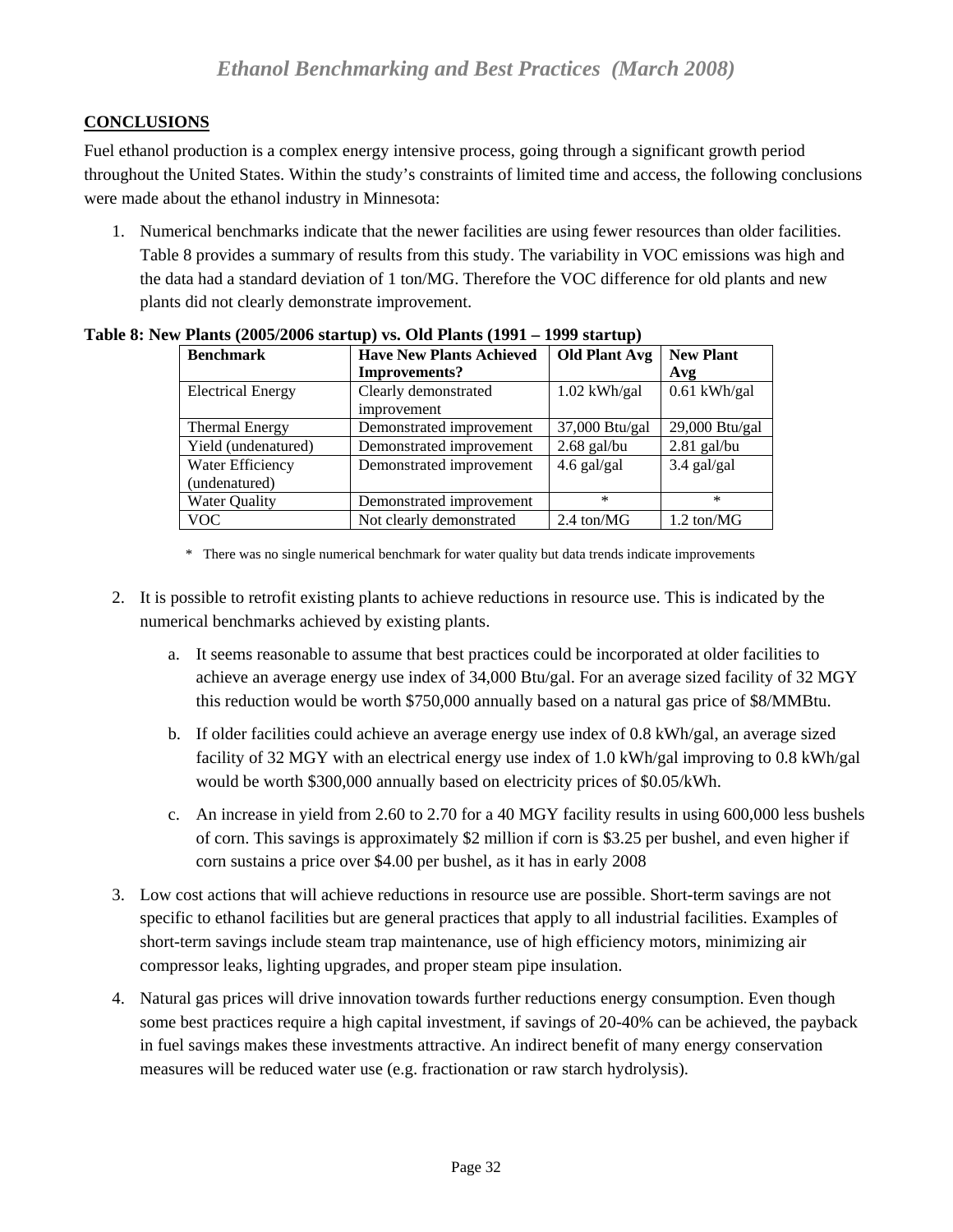# <span id="page-31-0"></span>**CONCLUSIONS**

Fuel ethanol production is a complex energy intensive process, going through a significant growth period throughout the United States. Within the study's constraints of limited time and access, the following conclusions were made about the ethanol industry in Minnesota:

1. Numerical benchmarks indicate that the newer facilities are using fewer resources than older facilities. Table 8 provides a summary of results from this study. The variability in VOC emissions was high and the data had a standard deviation of 1 ton/MG. Therefore the VOC difference for old plants and new plants did not clearly demonstrate improvement.

| <b>Benchmark</b>                  | <b>Have New Plants Achieved</b>     | <b>Old Plant Avg</b>          | <b>New Plant</b>            |
|-----------------------------------|-------------------------------------|-------------------------------|-----------------------------|
|                                   | Improvements?                       |                               | Avg                         |
| <b>Electrical Energy</b>          | Clearly demonstrated<br>improvement | $1.02$ kWh/gal                | $0.61$ kWh/gal              |
| <b>Thermal Energy</b>             | Demonstrated improvement            | 37,000 Btu/gal                | 29,000 Btu/gal              |
| Yield (undenatured)               | Demonstrated improvement            | $2.68$ gal/bu                 | $2.81$ gal/bu               |
| Water Efficiency<br>(undenatured) | Demonstrated improvement            | $4.6$ gal/gal                 | $3.4$ gal/gal               |
| <b>Water Quality</b>              | Demonstrated improvement            | $\ast$                        | $\ast$                      |
| <b>VOC</b>                        | Not clearly demonstrated            | $2.4 \text{ ton} / \text{MG}$ | $1.2 \text{ ton}/\text{MG}$ |

#### **Table 8: New Plants (2005/2006 startup) vs. Old Plants (1991 – 1999 startup)**

\* There was no single numerical benchmark for water quality but data trends indicate improvements

- 2. It is possible to retrofit existing plants to achieve reductions in resource use. This is indicated by the numerical benchmarks achieved by existing plants.
	- a. It seems reasonable to assume that best practices could be incorporated at older facilities to achieve an average energy use index of 34,000 Btu/gal. For an average sized facility of 32 MGY this reduction would be worth \$750,000 annually based on a natural gas price of \$8/MMBtu.
	- b. If older facilities could achieve an average energy use index of 0.8 kWh/gal, an average sized facility of 32 MGY with an electrical energy use index of 1.0 kWh/gal improving to 0.8 kWh/gal would be worth \$300,000 annually based on electricity prices of \$0.05/kWh.
	- c. An increase in yield from 2.60 to 2.70 for a 40 MGY facility results in using 600,000 less bushels of corn. This savings is approximately \$2 million if corn is \$3.25 per bushel, and even higher if corn sustains a price over \$4.00 per bushel, as it has in early 2008
- 3. Low cost actions that will achieve reductions in resource use are possible. Short-term savings are not specific to ethanol facilities but are general practices that apply to all industrial facilities. Examples of short-term savings include steam trap maintenance, use of high efficiency motors, minimizing air compressor leaks, lighting upgrades, and proper steam pipe insulation.
- 4. Natural gas prices will drive innovation towards further reductions energy consumption. Even though some best practices require a high capital investment, if savings of 20-40% can be achieved, the payback in fuel savings makes these investments attractive. An indirect benefit of many energy conservation measures will be reduced water use (e.g. fractionation or raw starch hydrolysis).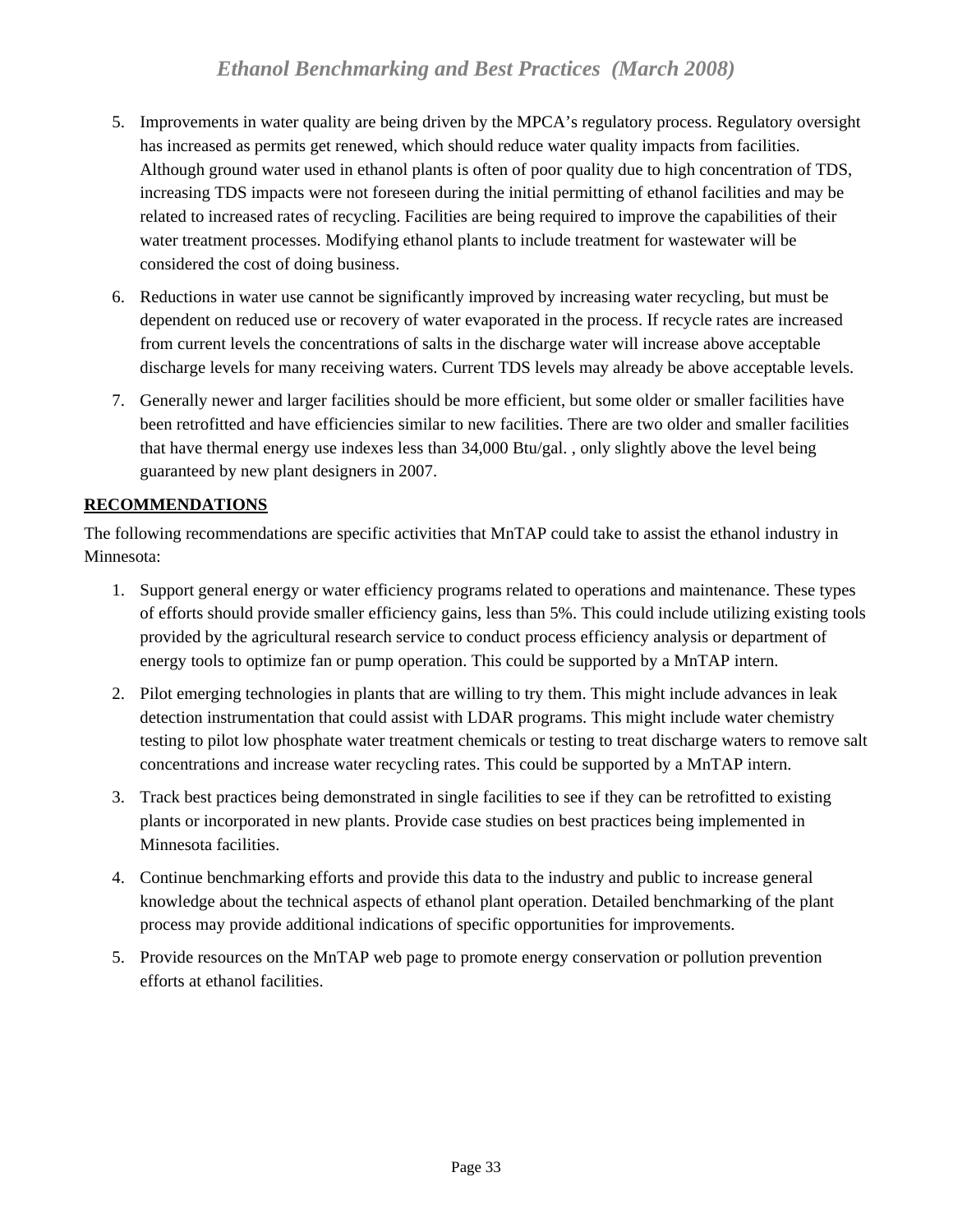- <span id="page-32-0"></span>5. Improvements in water quality are being driven by the MPCA's regulatory process. Regulatory oversight has increased as permits get renewed, which should reduce water quality impacts from facilities. Although ground water used in ethanol plants is often of poor quality due to high concentration of TDS, increasing TDS impacts were not foreseen during the initial permitting of ethanol facilities and may be related to increased rates of recycling. Facilities are being required to improve the capabilities of their water treatment processes. Modifying ethanol plants to include treatment for wastewater will be considered the cost of doing business.
- 6. Reductions in water use cannot be significantly improved by increasing water recycling, but must be dependent on reduced use or recovery of water evaporated in the process. If recycle rates are increased from current levels the concentrations of salts in the discharge water will increase above acceptable discharge levels for many receiving waters. Current TDS levels may already be above acceptable levels.
- 7. Generally newer and larger facilities should be more efficient, but some older or smaller facilities have been retrofitted and have efficiencies similar to new facilities. There are two older and smaller facilities that have thermal energy use indexes less than 34,000 Btu/gal. , only slightly above the level being guaranteed by new plant designers in 2007.

## **RECOMMENDATIONS**

The following recommendations are specific activities that MnTAP could take to assist the ethanol industry in Minnesota:

- 1. Support general energy or water efficiency programs related to operations and maintenance. These types of efforts should provide smaller efficiency gains, less than 5%. This could include utilizing existing tools provided by the agricultural research service to conduct process efficiency analysis or department of energy tools to optimize fan or pump operation. This could be supported by a MnTAP intern.
- 2. Pilot emerging technologies in plants that are willing to try them. This might include advances in leak detection instrumentation that could assist with LDAR programs. This might include water chemistry testing to pilot low phosphate water treatment chemicals or testing to treat discharge waters to remove salt concentrations and increase water recycling rates. This could be supported by a MnTAP intern.
- 3. Track best practices being demonstrated in single facilities to see if they can be retrofitted to existing plants or incorporated in new plants. Provide case studies on best practices being implemented in Minnesota facilities.
- 4. Continue benchmarking efforts and provide this data to the industry and public to increase general knowledge about the technical aspects of ethanol plant operation. Detailed benchmarking of the plant process may provide additional indications of specific opportunities for improvements.
- 5. Provide resources on the MnTAP web page to promote energy conservation or pollution prevention efforts at ethanol facilities.